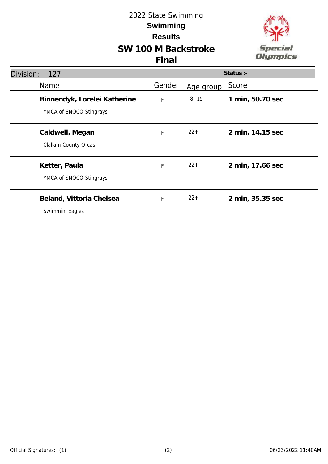



| Division:<br>127                                        | Status :-   |           |                  |
|---------------------------------------------------------|-------------|-----------|------------------|
| Name                                                    | Gender      | Age group | Score            |
| Binnendyk, Lorelei Katherine<br>YMCA of SNOCO Stingrays | $\mathsf F$ | $8 - 15$  | 1 min, 50.70 sec |
| Caldwell, Megan<br>Clallam County Orcas                 | F           | $22+$     | 2 min, 14.15 sec |
| Ketter, Paula<br>YMCA of SNOCO Stingrays                | F           | $22+$     | 2 min, 17.66 sec |
| Beland, Vittoria Chelsea<br>Swimmin' Eagles             | F           | $22+$     | 2 min, 35.35 sec |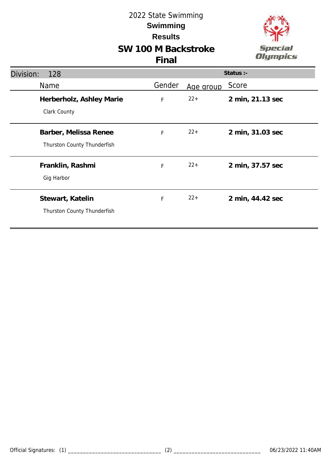



| Division:<br>128                                     | Status :- |           |                  |
|------------------------------------------------------|-----------|-----------|------------------|
| Name                                                 | Gender    | Age group | Score            |
| Herberholz, Ashley Marie<br>Clark County             | F         | $22+$     | 2 min, 21.13 sec |
| Barber, Melissa Renee<br>Thurston County Thunderfish | F         | $22+$     | 2 min, 31.03 sec |
| Franklin, Rashmi<br>Gig Harbor                       | F         | $22+$     | 2 min, 37.57 sec |
| Stewart, Katelin<br>Thurston County Thunderfish      | F         | $22+$     | 2 min, 44.42 sec |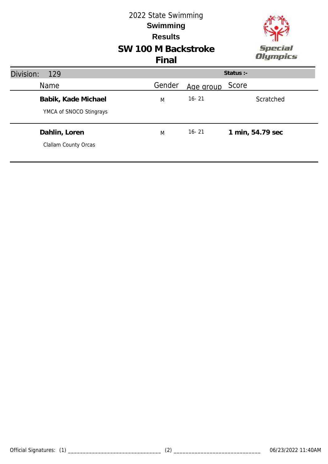### **SW 100 M Backstroke** 2022 State Swimming **Results Swimming Final**



| Division:<br>129                               |        |           | Status $:$ -     |
|------------------------------------------------|--------|-----------|------------------|
| Name                                           | Gender | Age group | Score            |
| Babik, Kade Michael<br>YMCA of SNOCO Stingrays | M      | $16 - 21$ | Scratched        |
| Dahlin, Loren<br>Clallam County Orcas          | M      | $16 - 21$ | 1 min, 54.79 sec |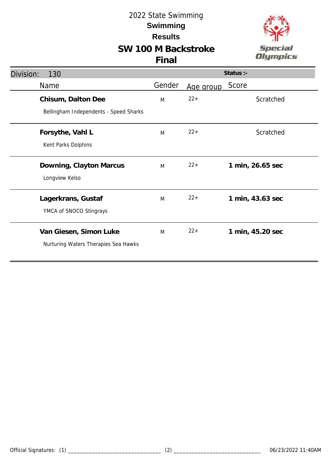# **SW 100 M Backstroke**



| Division:<br>130                       | Status :- |           |                  |  |
|----------------------------------------|-----------|-----------|------------------|--|
| Name                                   | Gender    | Age group | Score            |  |
| Chisum, Dalton Dee                     | M         | $22 +$    | Scratched        |  |
| Bellingham Independents - Speed Sharks |           |           |                  |  |
| Forsythe, Vahl L                       | M         | $22 +$    | Scratched        |  |
| Kent Parks Dolphins                    |           |           |                  |  |
| Downing, Clayton Marcus                | M         | $22+$     | 1 min, 26.65 sec |  |
| Longview Kelso                         |           |           |                  |  |
| Lagerkrans, Gustaf                     | M         | $22+$     | 1 min, 43.63 sec |  |
| YMCA of SNOCO Stingrays                |           |           |                  |  |
| Van Giesen, Simon Luke                 | M         | $22 +$    | 1 min, 45.20 sec |  |
| Nurturing Waters Therapies Sea Hawks   |           |           |                  |  |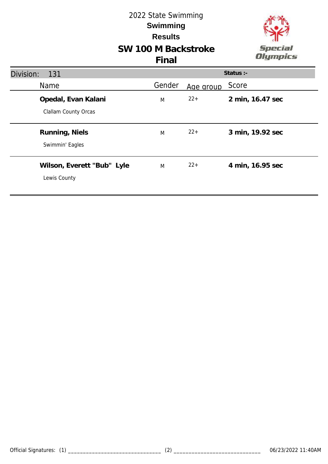## **SW 100 M Backstroke** 2022 State Swimming **Results Swimming**



| Division:<br>131                            |        |           | Status :-        |
|---------------------------------------------|--------|-----------|------------------|
| Name                                        | Gender | Age group | Score            |
| Opedal, Evan Kalani<br>Clallam County Orcas | M      | $22+$     | 2 min, 16.47 sec |
| Running, Niels<br>Swimmin' Eagles           | M      | $22+$     | 3 min, 19.92 sec |
| Wilson, Everett "Bub" Lyle<br>Lewis County  | M      | $22+$     | 4 min, 16.95 sec |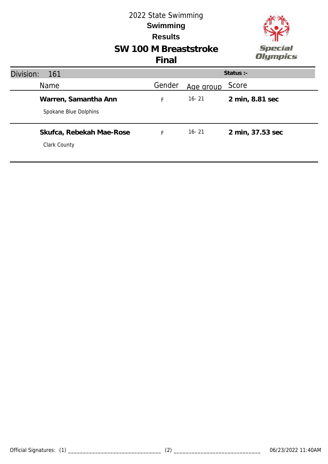

# **SW 100 M Breaststroke**

| Division: | <b>161</b>                                    |        |           | Status $:$ -     |
|-----------|-----------------------------------------------|--------|-----------|------------------|
|           | <b>Name</b>                                   | Gender | Age group | Score            |
|           | Warren, Samantha Ann<br>Spokane Blue Dolphins | F      | $16 - 21$ | 2 min, 8.81 sec  |
|           | Skufca, Rebekah Mae-Rose<br>Clark County      | Ė      | $16 - 21$ | 2 min, 37.53 sec |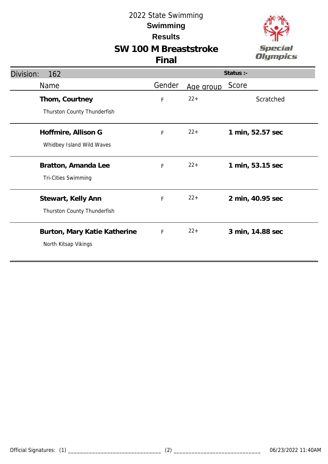# **SW 100 M Breaststroke**



| Division:<br>162             | Status :-   |           |                  |
|------------------------------|-------------|-----------|------------------|
| Name                         | Gender      | Age group | Score            |
| Thom, Courtney               | $\mathsf F$ | $22 +$    | Scratched        |
| Thurston County Thunderfish  |             |           |                  |
| Hoffmire, Allison G          | F           | $22+$     | 1 min, 52.57 sec |
| Whidbey Island Wild Waves    |             |           |                  |
| Bratton, Amanda Lee          | F           | $22+$     | 1 min, 53.15 sec |
| <b>Tri-Cities Swimming</b>   |             |           |                  |
| Stewart, Kelly Ann           | F           | $22+$     | 2 min, 40.95 sec |
| Thurston County Thunderfish  |             |           |                  |
| Burton, Mary Katie Katherine | F           | $22+$     | 3 min, 14.88 sec |
| North Kitsap Vikings         |             |           |                  |
|                              |             |           |                  |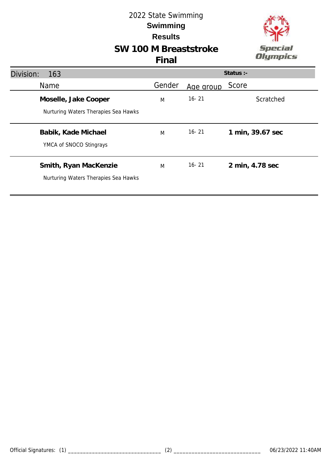## **SW 100 M Breaststroke**



| Division:<br>163                                              | Status :- |           |                  |  |
|---------------------------------------------------------------|-----------|-----------|------------------|--|
| <b>Name</b>                                                   | Gender    | Age group | Score            |  |
| Moselle, Jake Cooper<br>Nurturing Waters Therapies Sea Hawks  | M         | $16 - 21$ | Scratched        |  |
| Babik, Kade Michael<br>YMCA of SNOCO Stingrays                | M         | $16 - 21$ | 1 min, 39.67 sec |  |
| Smith, Ryan MacKenzie<br>Nurturing Waters Therapies Sea Hawks | M         | $16 - 21$ | 2 min, 4.78 sec  |  |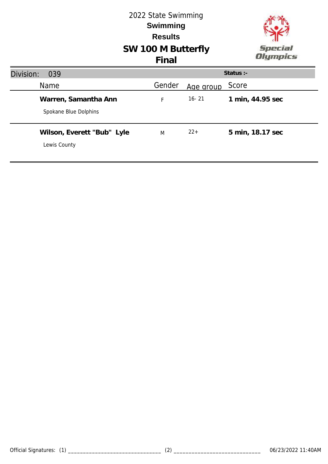#### 2022 State Swimming **Swimming Results SW 100 M Butterfly** Special **Olympics Final Status :-** Division: 039 Name Mame Cender Age group Score **Warren, Samantha Ann** F 16- 21 **1 min, 44.95 sec** Spokane Blue Dolphins **Wilson, Everett "Bub" Lyle** M 22+ **5 min, 18.17 sec** Lewis County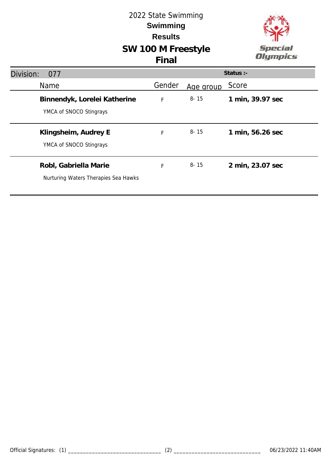## **SW 100 M Freestyle** 2022 State Swimming **Results Swimming**



|                                                               | Final  |           |                  |
|---------------------------------------------------------------|--------|-----------|------------------|
| Division:<br>077                                              |        |           | Status :-        |
| Name                                                          | Gender | Age group | Score            |
| Binnendyk, Lorelei Katherine<br>YMCA of SNOCO Stingrays       | F      | $8 - 15$  | 1 min, 39.97 sec |
| Klingsheim, Audrey E<br>YMCA of SNOCO Stingrays               | F      | $8 - 15$  | 1 min, 56.26 sec |
| Robl, Gabriella Marie<br>Nurturing Waters Therapies Sea Hawks | F      | 8-15      | 2 min, 23.07 sec |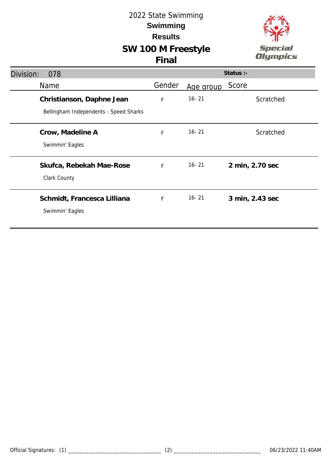### **SW 100 M Freestyle Final**



| Division:<br>078                       |              |           | Status :-       |
|----------------------------------------|--------------|-----------|-----------------|
| Name                                   | Gender       | Age group | Score           |
| Christianson, Daphne Jean              | F            | $16 - 21$ | Scratched       |
| Bellingham Independents - Speed Sharks |              |           |                 |
| Crow, Madeline A                       | F            | $16 - 21$ | Scratched       |
| Swimmin' Eagles                        |              |           |                 |
| Skufca, Rebekah Mae-Rose               | F            | $16 - 21$ | 2 min, 2.70 sec |
| Clark County                           |              |           |                 |
| Schmidt, Francesca Lilliana            | $\mathsf{F}$ | $16 - 21$ | 3 min, 2.43 sec |
| Swimmin' Eagles                        |              |           |                 |
|                                        |              |           |                 |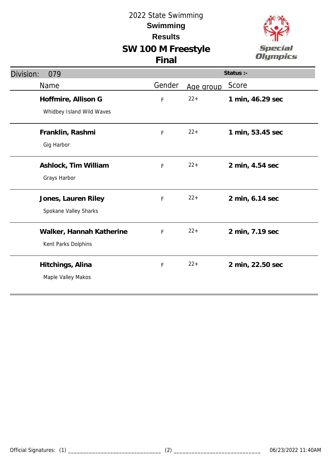



| Division:<br>079                                 | Status :- |           |                  |
|--------------------------------------------------|-----------|-----------|------------------|
| Name                                             | Gender    | Age group | Score            |
| Hoffmire, Allison G<br>Whidbey Island Wild Waves | F         | $22 +$    | 1 min, 46.29 sec |
| Franklin, Rashmi<br>Gig Harbor                   | F         | $22 +$    | 1 min, 53.45 sec |
| Ashlock, Tim William<br>Grays Harbor             | F         | $22 +$    | 2 min, 4.54 sec  |
| Jones, Lauren Riley<br>Spokane Valley Sharks     | F         | $22 +$    | 2 min, 6.14 sec  |
| Walker, Hannah Katherine<br>Kent Parks Dolphins  | F         | $22 +$    | 2 min, 7.19 sec  |
| Hitchings, Alina<br>Maple Valley Makos           | F         | $22 +$    | 2 min, 22.50 sec |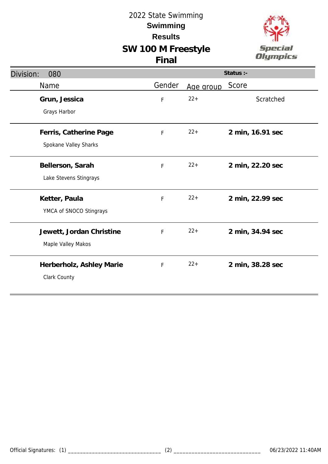### **SW 100 M Freestyle Final**



| Division:<br>080                                |        |           | Status :-        |
|-------------------------------------------------|--------|-----------|------------------|
| Name                                            | Gender | Age group | Score            |
| Grun, Jessica<br>Grays Harbor                   | F      | $22+$     | Scratched        |
| Ferris, Catherine Page<br>Spokane Valley Sharks | F      | $22+$     | 2 min, 16.91 sec |
| Bellerson, Sarah<br>Lake Stevens Stingrays      | F      | $22 +$    | 2 min, 22.20 sec |
| Ketter, Paula<br>YMCA of SNOCO Stingrays        | F      | $22 +$    | 2 min, 22.99 sec |
| Jewett, Jordan Christine<br>Maple Valley Makos  | F      | $22+$     | 2 min, 34.94 sec |
| Herberholz, Ashley Marie<br>Clark County        | F      | $22+$     | 2 min, 38.28 sec |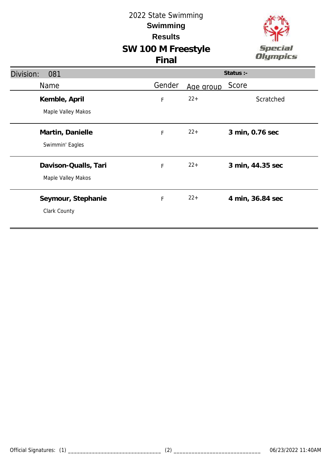



| Division:<br>081                           |             |           | Status :-        |
|--------------------------------------------|-------------|-----------|------------------|
| <b>Name</b>                                | Gender      | Age group | Score            |
| Kemble, April<br>Maple Valley Makos        | $\mathsf F$ | $22+$     | Scratched        |
| Martin, Danielle<br>Swimmin' Eagles        | F           | $22+$     | 3 min, 0.76 sec  |
| Davison-Qualls, Tari<br>Maple Valley Makos | F           | $22+$     | 3 min, 44.35 sec |
| Seymour, Stephanie<br>Clark County         | F           | $22+$     | 4 min, 36.84 sec |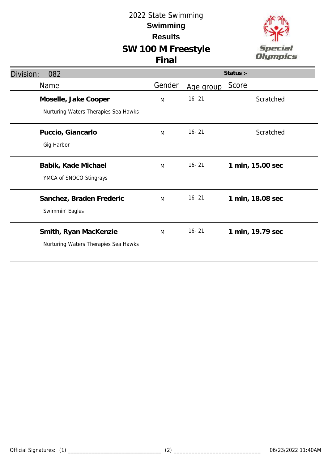# **SW 100 M Freestyle**



| Division:<br>082                     |        |           | Status :-        |
|--------------------------------------|--------|-----------|------------------|
| Name                                 | Gender | Age group | Score            |
| Moselle, Jake Cooper                 | M      | $16 - 21$ | Scratched        |
| Nurturing Waters Therapies Sea Hawks |        |           |                  |
| Puccio, Giancarlo                    | M      | $16 - 21$ | Scratched        |
| Gig Harbor                           |        |           |                  |
| Babik, Kade Michael                  | M      | $16 - 21$ | 1 min, 15.00 sec |
| YMCA of SNOCO Stingrays              |        |           |                  |
| Sanchez, Braden Frederic             | M      | $16 - 21$ | 1 min, 18.08 sec |
| Swimmin' Eagles                      |        |           |                  |
| Smith, Ryan MacKenzie                | M      | $16 - 21$ | 1 min, 19.79 sec |
| Nurturing Waters Therapies Sea Hawks |        |           |                  |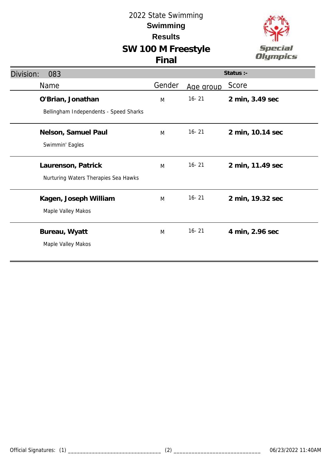# **SW 100 M Freestyle**



| <b>UU IVI I I U</b> U |       |  |  |
|-----------------------|-------|--|--|
|                       | Final |  |  |

| Division:<br>083 |                                        |        |           | Status :-        |
|------------------|----------------------------------------|--------|-----------|------------------|
| Name             |                                        | Gender | Age group | Score            |
|                  | O'Brian, Jonathan                      | M      | $16 - 21$ | 2 min, 3.49 sec  |
|                  | Bellingham Independents - Speed Sharks |        |           |                  |
|                  | Nelson, Samuel Paul                    | M      | $16 - 21$ | 2 min, 10.14 sec |
|                  | Swimmin' Eagles                        |        |           |                  |
|                  | Laurenson, Patrick                     | M      | $16 - 21$ | 2 min, 11.49 sec |
|                  | Nurturing Waters Therapies Sea Hawks   |        |           |                  |
|                  | Kagen, Joseph William                  | M      | $16 - 21$ | 2 min, 19.32 sec |
|                  | Maple Valley Makos                     |        |           |                  |
|                  | Bureau, Wyatt                          | M      | $16 - 21$ | 4 min, 2.96 sec  |
|                  | Maple Valley Makos                     |        |           |                  |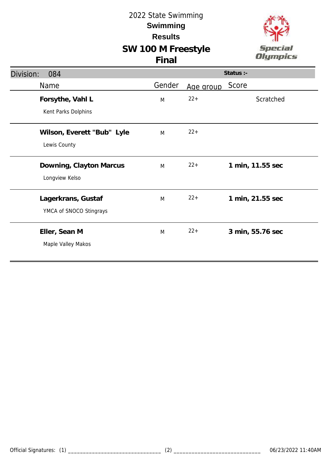### **SW 100 M Freestyle Final**



| Division:<br>084           |        |           | Status :-        |
|----------------------------|--------|-----------|------------------|
| Name                       | Gender | Age group | Score            |
| Forsythe, Vahl L           | M      | $22 +$    | Scratched        |
| Kent Parks Dolphins        |        |           |                  |
| Wilson, Everett "Bub" Lyle | M      | $22 +$    |                  |
| Lewis County               |        |           |                  |
| Downing, Clayton Marcus    | M      | $22+$     | 1 min, 11.55 sec |
| Longview Kelso             |        |           |                  |
| Lagerkrans, Gustaf         | M      | $22+$     | 1 min, 21.55 sec |
| YMCA of SNOCO Stingrays    |        |           |                  |
| Eller, Sean M              | M      | $22 +$    | 3 min, 55.76 sec |
| Maple Valley Makos         |        |           |                  |
|                            |        |           |                  |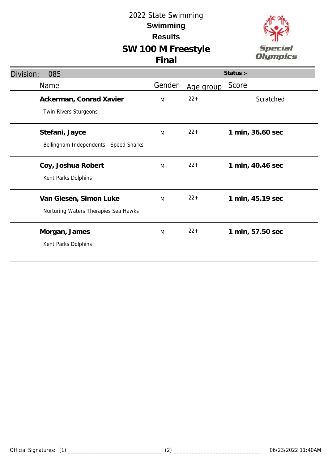# **SW 100 M Freestyle**



|  | v |  |
|--|---|--|

| Division:<br>085                       |        |           | Status :-        |
|----------------------------------------|--------|-----------|------------------|
| Name                                   | Gender | Age group | Score            |
| Ackerman, Conrad Xavier                | M      | $22 +$    | Scratched        |
| Twin Rivers Sturgeons                  |        |           |                  |
| Stefani, Jayce                         | M      | $22+$     | 1 min, 36.60 sec |
| Bellingham Independents - Speed Sharks |        |           |                  |
| Coy, Joshua Robert                     | M      | $22+$     | 1 min, 40.46 sec |
| Kent Parks Dolphins                    |        |           |                  |
| Van Giesen, Simon Luke                 | M      | $22+$     | 1 min, 45.19 sec |
| Nurturing Waters Therapies Sea Hawks   |        |           |                  |
| Morgan, James                          | M      | $22+$     | 1 min, 57.50 sec |
| Kent Parks Dolphins                    |        |           |                  |
|                                        |        |           |                  |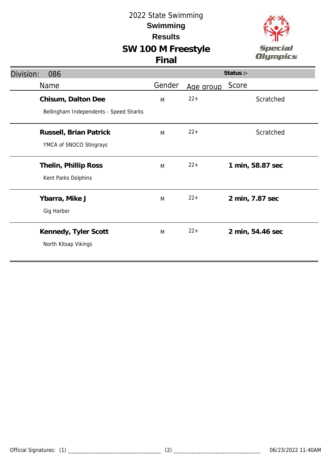### **SW 100 M Freestyle Final**



| Division:<br>086                                             |        |           | Status :-        |
|--------------------------------------------------------------|--------|-----------|------------------|
| Name                                                         | Gender | Age group | Score            |
| Chisum, Dalton Dee<br>Bellingham Independents - Speed Sharks | M      | $22 +$    | Scratched        |
|                                                              |        |           |                  |
| Russell, Brian Patrick                                       | M      | $22 +$    | Scratched        |
| YMCA of SNOCO Stingrays                                      |        |           |                  |
| Thelin, Phillip Ross                                         | M      | $22+$     | 1 min, 58.87 sec |
| Kent Parks Dolphins                                          |        |           |                  |
| Ybarra, Mike J                                               | M      | $22 +$    | 2 min, 7.87 sec  |
| Gig Harbor                                                   |        |           |                  |
| Kennedy, Tyler Scott                                         | M      | $22+$     | 2 min, 54.46 sec |
| North Kitsap Vikings                                         |        |           |                  |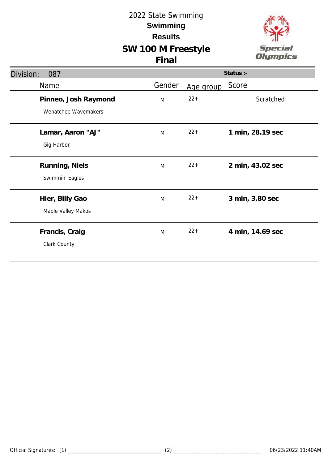### **SW 100 M Freestyle Final**



| Division:<br>087     |        |           | Status :-        |
|----------------------|--------|-----------|------------------|
| Name                 | Gender | Age group | Score            |
| Pinneo, Josh Raymond | M      | $22 +$    | Scratched        |
| Wenatchee Wavemakers |        |           |                  |
| Lamar, Aaron "AJ"    | M      | $22+$     | 1 min, 28.19 sec |
| Gig Harbor           |        |           |                  |
| Running, Niels       | M      | $22+$     | 2 min, 43.02 sec |
| Swimmin' Eagles      |        |           |                  |
| Hier, Billy Gao      | M      | $22+$     | 3 min, 3.80 sec  |
| Maple Valley Makos   |        |           |                  |
| Francis, Craig       | M      | $22+$     | 4 min, 14.69 sec |
| Clark County         |        |           |                  |
|                      |        |           |                  |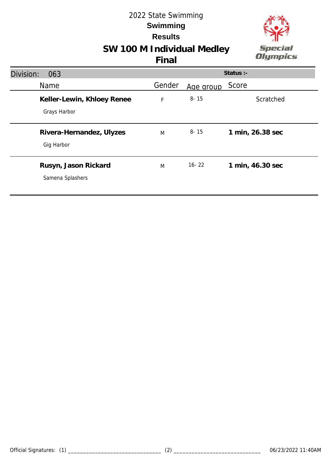

# **SW 100 M Individual Medley**

| Division:<br>063                           |        |           | Status :-        |
|--------------------------------------------|--------|-----------|------------------|
| Name                                       | Gender | Age group | Score            |
| Keller-Lewin, Khloey Renee<br>Grays Harbor | F      | $8 - 15$  | Scratched        |
| Rivera-Hernandez, Ulyzes<br>Gig Harbor     | M      | $8 - 15$  | 1 min, 26.38 sec |
| Rusyn, Jason Rickard<br>Samena Splashers   | M      | $16 - 22$ | 1 min, 46.30 sec |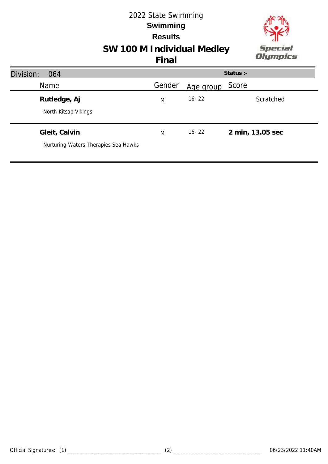

# **SW 100 M Individual Medley**

| Division:<br>064                                      |        |           | Status :-        |
|-------------------------------------------------------|--------|-----------|------------------|
| Name                                                  | Gender | Age group | Score            |
| Rutledge, Aj<br>North Kitsap Vikings                  | M      | $16 - 22$ | Scratched        |
| Gleit, Calvin<br>Nurturing Waters Therapies Sea Hawks | M      | $16 - 22$ | 2 min, 13.05 sec |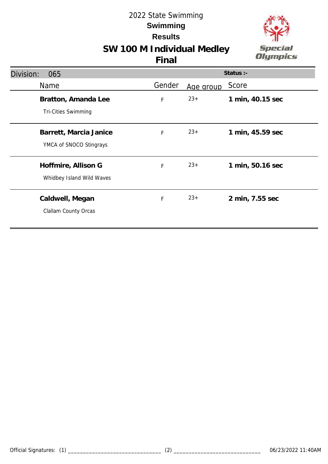

# **SW 100 M Individual Medley**

| Division:<br>065                                  |        |           | Status :-        |
|---------------------------------------------------|--------|-----------|------------------|
| <b>Name</b>                                       | Gender | Age group | Score            |
| Bratton, Amanda Lee<br><b>Tri-Cities Swimming</b> | F      | $23+$     | 1 min, 40.15 sec |
| Barrett, Marcia Janice<br>YMCA of SNOCO Stingrays | F      | $23+$     | 1 min, 45.59 sec |
| Hoffmire, Allison G<br>Whidbey Island Wild Waves  | F      | $23+$     | 1 min, 50.16 sec |
| Caldwell, Megan<br>Clallam County Orcas           | F      | $23+$     | 2 min, 7.55 sec  |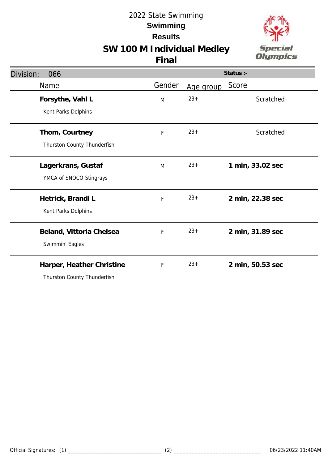

# **SW 100 M Individual Medley**

| Division:<br>066                                         |        |           | Status :-        |
|----------------------------------------------------------|--------|-----------|------------------|
| Name                                                     | Gender | Age group | Score            |
| Forsythe, Vahl L<br>Kent Parks Dolphins                  | M      | $23+$     | Scratched        |
| Thom, Courtney<br>Thurston County Thunderfish            | F      | $23+$     | Scratched        |
| Lagerkrans, Gustaf<br>YMCA of SNOCO Stingrays            | M      | $23+$     | 1 min, 33.02 sec |
| Hetrick, Brandi L<br>Kent Parks Dolphins                 | F      | $23+$     | 2 min, 22.38 sec |
| Beland, Vittoria Chelsea<br>Swimmin' Eagles              | F      | $23+$     | 2 min, 31.89 sec |
| Harper, Heather Christine<br>Thurston County Thunderfish | F      | $23+$     | 2 min, 50.53 sec |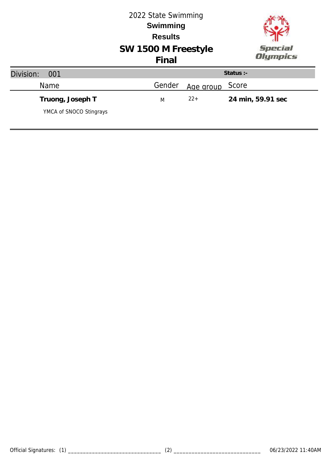|                                             | 2022 State Swimming<br><b>Swimming</b><br><b>Results</b><br>SW 1500 M Freestyle |           | <b>Special</b> |                   |
|---------------------------------------------|---------------------------------------------------------------------------------|-----------|----------------|-------------------|
|                                             | Final                                                                           |           |                | Olympics          |
| Division:<br>001                            |                                                                                 |           | Status :-      |                   |
| Name                                        | Gender                                                                          | Age group | Score          |                   |
| Truong, Joseph T<br>YMCA of SNOCO Stingrays | M                                                                               | $22+$     |                | 24 min, 59.91 sec |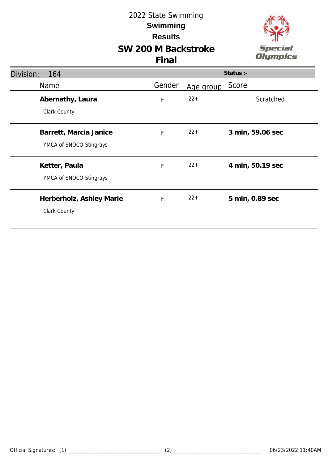### **SW 200 M Backstroke Final**



| Division:<br>164                                  |        |           | Status :-        |
|---------------------------------------------------|--------|-----------|------------------|
| <b>Name</b>                                       | Gender | Age group | Score            |
| Abernathy, Laura<br>Clark County                  | F      | $22+$     | Scratched        |
| Barrett, Marcia Janice<br>YMCA of SNOCO Stingrays | F      | $22+$     | 3 min, 59.06 sec |
| Ketter, Paula<br>YMCA of SNOCO Stingrays          | F      | $22+$     | 4 min, 50.19 sec |
| Herberholz, Ashley Marie<br>Clark County          | F      | $22+$     | 5 min, 0.89 sec  |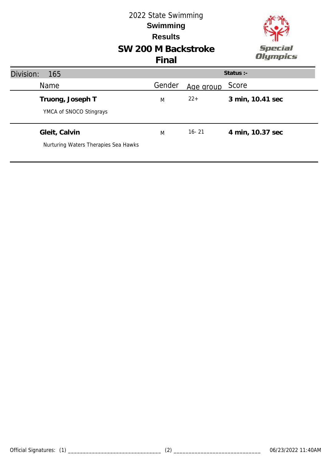### **SW 200 M Backstroke** 2022 State Swimming **Results Swimming Final**



| Division:<br>165                                      |        |           | Status :-        |
|-------------------------------------------------------|--------|-----------|------------------|
| Name                                                  | Gender | Age group | Score            |
| Truong, Joseph T<br>YMCA of SNOCO Stingrays           | M      | $22+$     | 3 min, 10.41 sec |
| Gleit, Calvin<br>Nurturing Waters Therapies Sea Hawks | M      | $16 - 21$ | 4 min, 10.37 sec |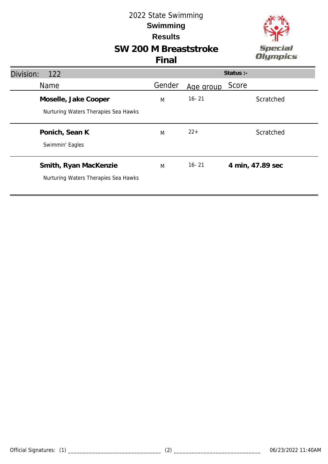## **SW 200 M Breaststroke**



| Division:<br><b>122</b>                                       |        |           | Status :-        |
|---------------------------------------------------------------|--------|-----------|------------------|
| Name                                                          | Gender | Age group | Score            |
| Moselle, Jake Cooper<br>Nurturing Waters Therapies Sea Hawks  | M      | $16 - 21$ | Scratched        |
| Ponich, Sean K<br>Swimmin' Eagles                             | M      | $22+$     | Scratched        |
| Smith, Ryan MacKenzie<br>Nurturing Waters Therapies Sea Hawks | M      | $16 - 21$ | 4 min, 47.89 sec |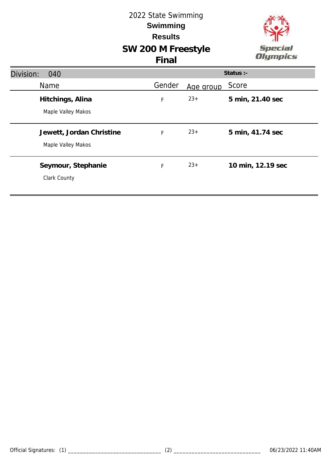## **SW 200 M Freestyle** 2022 State Swimming **Results Swimming Final**



| Division:<br>040                               |             |           | Status :-         |
|------------------------------------------------|-------------|-----------|-------------------|
| Name                                           | Gender      | Age group | Score             |
| Hitchings, Alina<br>Maple Valley Makos         | $\mathsf F$ | $23+$     | 5 min, 21.40 sec  |
| Jewett, Jordan Christine<br>Maple Valley Makos | F           | $23+$     | 5 min, 41.74 sec  |
| Seymour, Stephanie<br>Clark County             | F           | $23+$     | 10 min, 12.19 sec |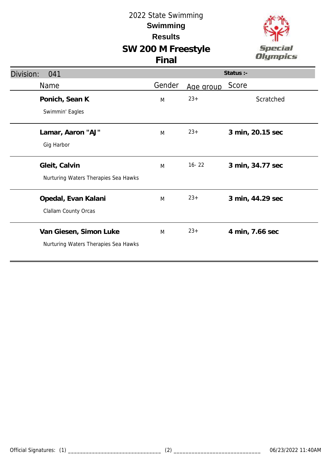# **SW 200 M Freestyle**



| Division:<br>041                     |        |           | Status :-        |
|--------------------------------------|--------|-----------|------------------|
| Name                                 | Gender | Age group | Score            |
| Ponich, Sean K                       | M      | $23+$     | Scratched        |
| Swimmin' Eagles                      |        |           |                  |
| Lamar, Aaron "AJ"                    | M      | $23+$     | 3 min, 20.15 sec |
| Gig Harbor                           |        |           |                  |
| Gleit, Calvin                        | M      | $16 - 22$ | 3 min, 34.77 sec |
| Nurturing Waters Therapies Sea Hawks |        |           |                  |
| Opedal, Evan Kalani                  | M      | $23+$     | 3 min, 44.29 sec |
| Clallam County Orcas                 |        |           |                  |
| Van Giesen, Simon Luke               | M      | $23+$     | 4 min, 7.66 sec  |
| Nurturing Waters Therapies Sea Hawks |        |           |                  |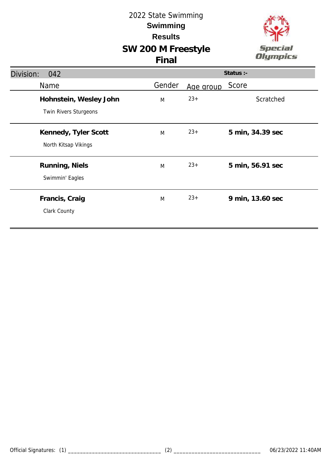# **SW 200 M Freestyle**



|  | v |  |
|--|---|--|

| Division:<br>042                                |        |           | Status :-        |
|-------------------------------------------------|--------|-----------|------------------|
| Name                                            | Gender | Age group | Score            |
| Hohnstein, Wesley John<br>Twin Rivers Sturgeons | M      | $23+$     | Scratched        |
| Kennedy, Tyler Scott<br>North Kitsap Vikings    | M      | $23+$     | 5 min, 34.39 sec |
| Running, Niels<br>Swimmin' Eagles               | M      | $23+$     | 5 min, 56.91 sec |
| Francis, Craig<br>Clark County                  | M      | $23+$     | 9 min, 13.60 sec |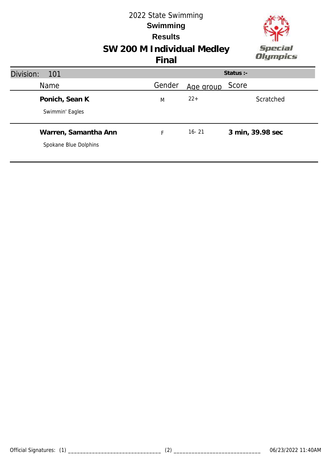

# **SW 200 M Individual Medley**

| Division:<br>101                              |        |           | Status :-        |
|-----------------------------------------------|--------|-----------|------------------|
| <b>Name</b>                                   | Gender | Age group | Score            |
| Ponich, Sean K<br>Swimmin' Eagles             | M      | $22+$     | Scratched        |
| Warren, Samantha Ann<br>Spokane Blue Dolphins | F      | $16 - 21$ | 3 min, 39.98 sec |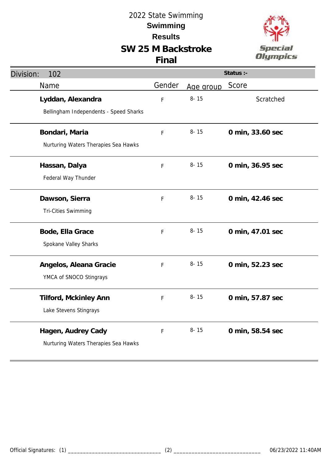# **SW 25 M Backstroke**



| Division:<br>102                                            | Status :-   |           |                  |
|-------------------------------------------------------------|-------------|-----------|------------------|
| Name                                                        | Gender      | Age group | Score            |
| Lyddan, Alexandra<br>Bellingham Independents - Speed Sharks | $\mathsf F$ | $8 - 15$  | Scratched        |
| Bondari, Maria<br>Nurturing Waters Therapies Sea Hawks      | F           | $8 - 15$  | 0 min, 33.60 sec |
| Hassan, Dalya<br>Federal Way Thunder                        | F           | $8 - 15$  | 0 min, 36.95 sec |
| Dawson, Sierra<br>Tri-Cities Swimming                       | F           | $8 - 15$  | 0 min, 42.46 sec |
| Bode, Ella Grace<br>Spokane Valley Sharks                   | F           | $8 - 15$  | 0 min, 47.01 sec |
| Angelos, Aleana Gracie<br>YMCA of SNOCO Stingrays           | $\mathsf F$ | $8 - 15$  | 0 min, 52.23 sec |
| Tilford, Mckinley Ann<br>Lake Stevens Stingrays             | $\mathsf F$ | $8 - 15$  | 0 min, 57.87 sec |
| Hagen, Audrey Cady<br>Nurturing Waters Therapies Sea Hawks  | F           | $8 - 15$  | 0 min, 58.54 sec |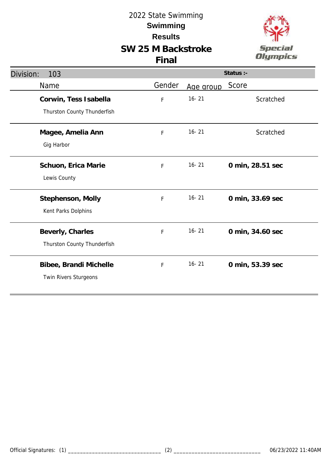### **SW 25 M Backstroke Final**



| Division:<br>103            | Status :- |           |                  |
|-----------------------------|-----------|-----------|------------------|
| Name                        | Gender    | Age group | Score            |
| Corwin, Tess Isabella       | F         | $16 - 21$ | Scratched        |
| Thurston County Thunderfish |           |           |                  |
| Magee, Amelia Ann           | F         | $16 - 21$ | Scratched        |
| Gig Harbor                  |           |           |                  |
| Schuon, Erica Marie         | F         | $16 - 21$ | 0 min, 28.51 sec |
| Lewis County                |           |           |                  |
| Stephenson, Molly           | F         | $16 - 21$ | 0 min, 33.69 sec |
| Kent Parks Dolphins         |           |           |                  |
| Beverly, Charles            | F         | $16 - 21$ | 0 min, 34.60 sec |
| Thurston County Thunderfish |           |           |                  |
| Bibee, Brandi Michelle      | F         | $16 - 21$ | 0 min, 53.39 sec |
| Twin Rivers Sturgeons       |           |           |                  |
|                             |           |           |                  |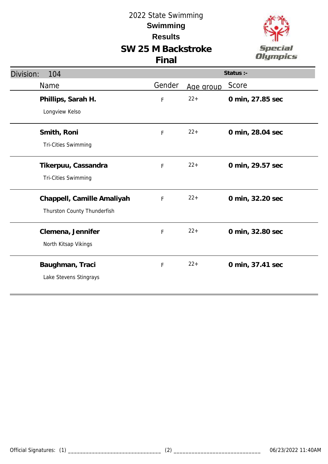### **SW 25 M Backstroke Final**



| Division:<br>104            | Status :-   |           |                  |
|-----------------------------|-------------|-----------|------------------|
| Name                        | Gender      | Age group | Score            |
| Phillips, Sarah H.          | F           | $22 +$    | 0 min, 27.85 sec |
| Longview Kelso              |             |           |                  |
| Smith, Roni                 | F           | $22+$     | 0 min, 28.04 sec |
| Tri-Cities Swimming         |             |           |                  |
| Tikerpuu, Cassandra         | F           | $22+$     | 0 min, 29.57 sec |
| Tri-Cities Swimming         |             |           |                  |
| Chappell, Camille Amaliyah  | $\mathsf F$ | $22+$     | 0 min, 32.20 sec |
| Thurston County Thunderfish |             |           |                  |
| Clemena, Jennifer           | F           | $22 +$    | 0 min, 32.80 sec |
| North Kitsap Vikings        |             |           |                  |
| Baughman, Traci             | F           | $22 +$    | 0 min, 37.41 sec |
| Lake Stevens Stingrays      |             |           |                  |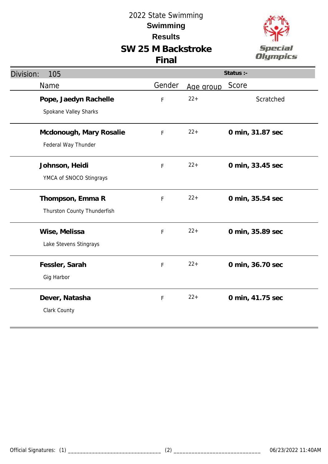### **SW 25 M Backstroke Final**



| Division:<br>105            | Status :-   |           |                  |
|-----------------------------|-------------|-----------|------------------|
| Name                        | Gender      | Age group | Score            |
| Pope, Jaedyn Rachelle       | F           | $22 +$    | Scratched        |
| Spokane Valley Sharks       |             |           |                  |
| Mcdonough, Mary Rosalie     | F           | $22+$     | 0 min, 31.87 sec |
| Federal Way Thunder         |             |           |                  |
| Johnson, Heidi              | F           | $22+$     | 0 min, 33.45 sec |
| YMCA of SNOCO Stingrays     |             |           |                  |
| Thompson, Emma R            | F           | $22+$     | 0 min, 35.54 sec |
| Thurston County Thunderfish |             |           |                  |
| Wise, Melissa               | F           | $22 +$    | 0 min, 35.89 sec |
| Lake Stevens Stingrays      |             |           |                  |
| Fessler, Sarah              | F           | $22+$     | 0 min, 36.70 sec |
| Gig Harbor                  |             |           |                  |
| Dever, Natasha              | $\mathsf F$ | $22+$     | 0 min, 41.75 sec |
| Clark County                |             |           |                  |
|                             |             |           |                  |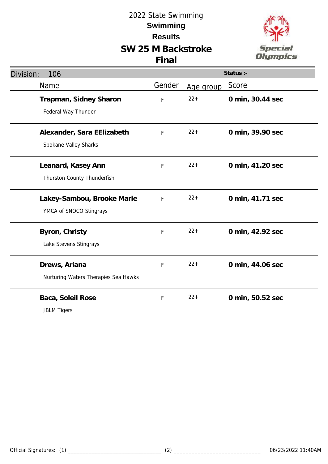

| Division:<br>106                                      |             |           | Status :-        |
|-------------------------------------------------------|-------------|-----------|------------------|
| Name                                                  | Gender      | Age group | Score            |
| Trapman, Sidney Sharon<br>Federal Way Thunder         | F           | $22 +$    | 0 min, 30.44 sec |
| Alexander, Sara EElizabeth<br>Spokane Valley Sharks   | F           | $22 +$    | 0 min, 39.90 sec |
| Leanard, Kasey Ann<br>Thurston County Thunderfish     | F           | $22 +$    | 0 min, 41.20 sec |
| Lakey-Sambou, Brooke Marie<br>YMCA of SNOCO Stingrays | F           | $22+$     | 0 min, 41.71 sec |
| Byron, Christy<br>Lake Stevens Stingrays              | F           | $22+$     | 0 min, 42.92 sec |
| Drews, Ariana<br>Nurturing Waters Therapies Sea Hawks | F           | $22+$     | 0 min, 44.06 sec |
| Baca, Soleil Rose<br><b>JBLM Tigers</b>               | $\mathsf F$ | $22 +$    | 0 min, 50.52 sec |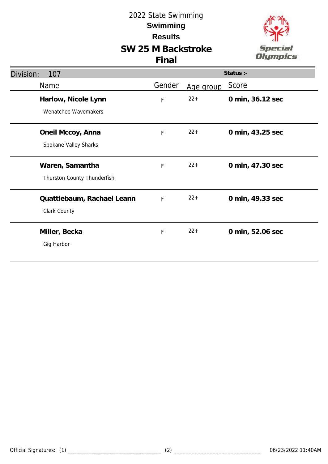

| Division:<br>107                               |              |           | Status :-        |
|------------------------------------------------|--------------|-----------|------------------|
| Name                                           | Gender       | Age group | Score            |
| Harlow, Nicole Lynn<br>Wenatchee Wavemakers    | $\mathsf F$  | $22+$     | 0 min, 36.12 sec |
| Oneil Mccoy, Anna<br>Spokane Valley Sharks     | F            | $22+$     | 0 min, 43.25 sec |
| Waren, Samantha<br>Thurston County Thunderfish | F            | $22+$     | 0 min, 47.30 sec |
| Quattlebaum, Rachael Leann<br>Clark County     | $\mathsf{F}$ | $22+$     | 0 min, 49.33 sec |
| Miller, Becka<br>Gig Harbor                    | F            | $22+$     | 0 min, 52.06 sec |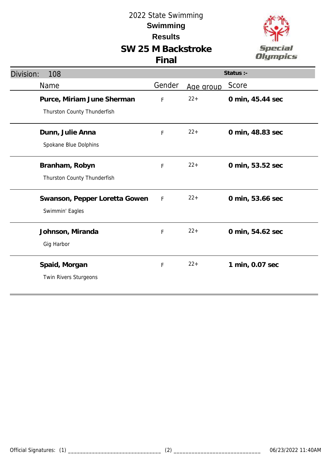

| Division:<br>108                                          |             |           | Status :-        |
|-----------------------------------------------------------|-------------|-----------|------------------|
| Name                                                      | Gender      | Age group | Score            |
| Purce, Miriam June Sherman<br>Thurston County Thunderfish | F           | $22+$     | 0 min, 45.44 sec |
| Dunn, Julie Anna<br>Spokane Blue Dolphins                 | F           | $22+$     | 0 min, 48.83 sec |
| Branham, Robyn<br>Thurston County Thunderfish             | F           | $22+$     | 0 min, 53.52 sec |
| Swanson, Pepper Loretta Gowen<br>Swimmin' Eagles          | F           | $22+$     | 0 min, 53.66 sec |
| Johnson, Miranda<br>Gig Harbor                            | F           | $22+$     | 0 min, 54.62 sec |
| Spaid, Morgan<br>Twin Rivers Sturgeons                    | $\mathsf F$ | $22+$     | 1 min, 0.07 sec  |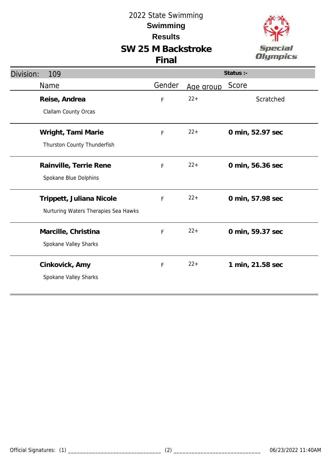

| Division:<br>109                     | Status :- |           |                  |
|--------------------------------------|-----------|-----------|------------------|
| Name                                 | Gender    | Age group | Score            |
| Reise, Andrea                        | F         | $22+$     | Scratched        |
| Clallam County Orcas                 |           |           |                  |
| Wright, Tami Marie                   | F         | $22+$     | 0 min, 52.97 sec |
| Thurston County Thunderfish          |           |           |                  |
| Rainville, Terrie Rene               | F         | $22+$     | 0 min, 56.36 sec |
| Spokane Blue Dolphins                |           |           |                  |
| Trippett, Juliana Nicole             | F         | $22+$     | 0 min, 57.98 sec |
| Nurturing Waters Therapies Sea Hawks |           |           |                  |
| Marcille, Christina                  | F         | $22+$     | 0 min, 59.37 sec |
| Spokane Valley Sharks                |           |           |                  |
| Cinkovick, Amy                       | F         | $22+$     | 1 min, 21.58 sec |
| Spokane Valley Sharks                |           |           |                  |
|                                      |           |           |                  |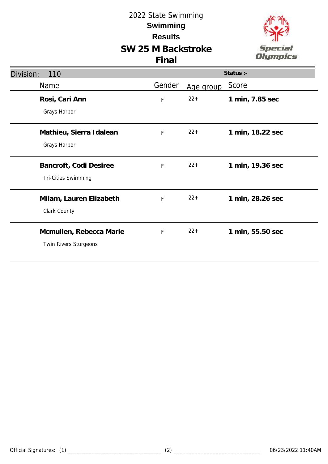

| Division:<br>110                                 |        |           | Status :-        |
|--------------------------------------------------|--------|-----------|------------------|
| Name                                             | Gender | Age group | Score            |
| Rosi, Cari Ann<br>Grays Harbor                   | F      | $22+$     | 1 min, 7.85 sec  |
| Mathieu, Sierra Idalean<br>Grays Harbor          | F      | $22+$     | 1 min, 18.22 sec |
| Bancroft, Codi Desiree<br>Tri-Cities Swimming    | F      | $22+$     | 1 min, 19.36 sec |
| Milam, Lauren Elizabeth<br>Clark County          | F      | $22+$     | 1 min, 28.26 sec |
| Mcmullen, Rebecca Marie<br>Twin Rivers Sturgeons | F      | $22+$     | 1 min, 55.50 sec |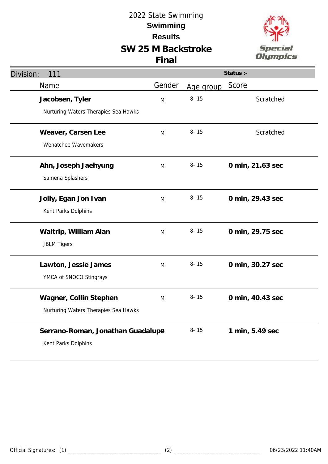# **SW 25 M Backstroke Final**



| l,             |
|----------------|
| гіл<br>e<br>Ŭ, |
|                |
| lym            |

 $a \in \mathbb{R}$ 

| Division:<br>111                                               |        |           | Status :-        |
|----------------------------------------------------------------|--------|-----------|------------------|
| Name                                                           | Gender | Age group | Score            |
| Jacobsen, Tyler<br>Nurturing Waters Therapies Sea Hawks        | M      | $8 - 15$  | Scratched        |
| Weaver, Carsen Lee<br>Wenatchee Wavemakers                     | M      | $8 - 15$  | Scratched        |
| Ahn, Joseph Jaehyung<br>Samena Splashers                       | M      | $8 - 15$  | 0 min, 21.63 sec |
| Jolly, Egan Jon Ivan<br>Kent Parks Dolphins                    | M      | $8 - 15$  | 0 min, 29.43 sec |
| Waltrip, William Alan<br><b>JBLM Tigers</b>                    | M      | $8 - 15$  | 0 min, 29.75 sec |
| Lawton, Jessie James<br>YMCA of SNOCO Stingrays                | M      | $8 - 15$  | 0 min, 30.27 sec |
| Wagner, Collin Stephen<br>Nurturing Waters Therapies Sea Hawks | M      | $8 - 15$  | 0 min, 40.43 sec |
| Serrano-Roman, Jonathan Guadalup<br>Kent Parks Dolphins        |        | $8 - 15$  | 1 min, 5.49 sec  |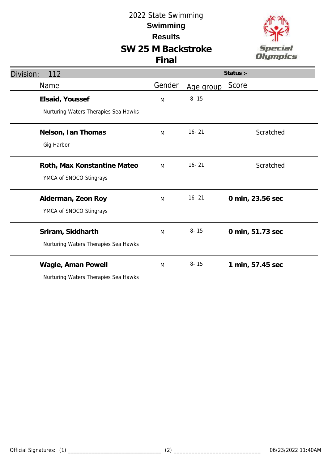# **SW 25 M Backstroke**



| Division:<br>112                     |        |           | Status :-        |
|--------------------------------------|--------|-----------|------------------|
| Name                                 | Gender | Age group | Score            |
| Elsaid, Youssef                      | M      | $8 - 15$  |                  |
| Nurturing Waters Therapies Sea Hawks |        |           |                  |
| Nelson, Ian Thomas                   | M      | $16 - 21$ | Scratched        |
| Gig Harbor                           |        |           |                  |
| Roth, Max Konstantine Mateo          | M      | $16 - 21$ | Scratched        |
| YMCA of SNOCO Stingrays              |        |           |                  |
| Alderman, Zeon Roy                   | M      | $16 - 21$ | 0 min, 23.56 sec |
| YMCA of SNOCO Stingrays              |        |           |                  |
| Sriram, Siddharth                    | M      | $8 - 15$  | 0 min, 51.73 sec |
| Nurturing Waters Therapies Sea Hawks |        |           |                  |
| Wagle, Aman Powell                   | M      | $8 - 15$  | 1 min, 57.45 sec |
| Nurturing Waters Therapies Sea Hawks |        |           |                  |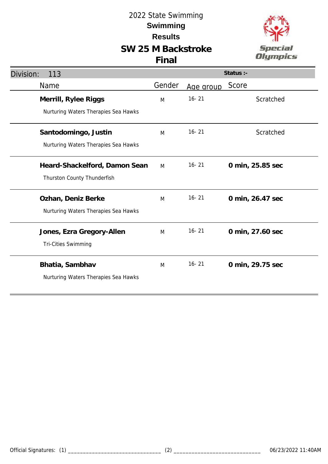# **SW 25 M Backstroke**





| Division:<br>113                                             |        |           | Status :-        |
|--------------------------------------------------------------|--------|-----------|------------------|
| Name                                                         | Gender | Age group | Score            |
| Merrill, Rylee Riggs<br>Nurturing Waters Therapies Sea Hawks | M      | $16 - 21$ | Scratched        |
| Santodomingo, Justin<br>Nurturing Waters Therapies Sea Hawks | M      | $16 - 21$ | Scratched        |
| Heard-Shackelford, Damon Sean<br>Thurston County Thunderfish | M      | $16 - 21$ | 0 min, 25.85 sec |
| Ozhan, Deniz Berke<br>Nurturing Waters Therapies Sea Hawks   | M      | $16 - 21$ | 0 min, 26.47 sec |
| Jones, Ezra Gregory-Allen<br>Tri-Cities Swimming             | M      | $16 - 21$ | 0 min, 27.60 sec |
| Bhatia, Sambhav<br>Nurturing Waters Therapies Sea Hawks      | M      | $16 - 21$ | 0 min, 29.75 sec |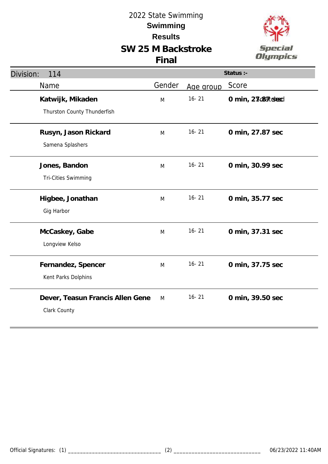

| Division:<br>114                 |        |           | Status :-          |
|----------------------------------|--------|-----------|--------------------|
| Name                             | Gender | Age group | Score              |
| Katwijk, Mikaden                 | M      | $16 - 21$ | 0 min, 23c8atcheed |
| Thurston County Thunderfish      |        |           |                    |
| Rusyn, Jason Rickard             | M      | $16 - 21$ | 0 min, 27.87 sec   |
| Samena Splashers                 |        |           |                    |
| Jones, Bandon                    | M      | $16 - 21$ | 0 min, 30.99 sec   |
| <b>Tri-Cities Swimming</b>       |        |           |                    |
| Higbee, Jonathan                 | M      | $16 - 21$ | 0 min, 35.77 sec   |
| Gig Harbor                       |        |           |                    |
| McCaskey, Gabe                   | M      | $16 - 21$ | 0 min, 37.31 sec   |
| Longview Kelso                   |        |           |                    |
| Fernandez, Spencer               | M      | $16 - 21$ | 0 min, 37.75 sec   |
| Kent Parks Dolphins              |        |           |                    |
| Dever, Teasun Francis Allen Gene | M      | $16 - 21$ | 0 min, 39.50 sec   |
| Clark County                     |        |           |                    |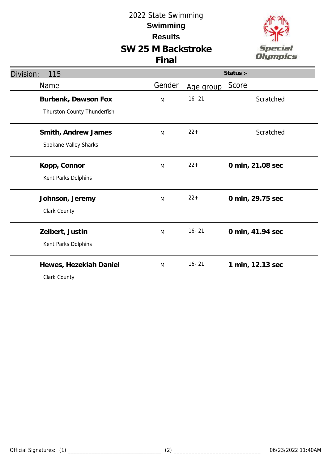

| Division:<br>115            | Status :- |           |                  |
|-----------------------------|-----------|-----------|------------------|
| Name                        | Gender    | Age group | Score            |
| Burbank, Dawson Fox         | M         | $16 - 21$ | Scratched        |
| Thurston County Thunderfish |           |           |                  |
| Smith, Andrew James         | M         | $22 +$    | Scratched        |
| Spokane Valley Sharks       |           |           |                  |
| Kopp, Connor                | M         | $22+$     | 0 min, 21.08 sec |
| Kent Parks Dolphins         |           |           |                  |
| Johnson, Jeremy             | M         | $22+$     | 0 min, 29.75 sec |
| Clark County                |           |           |                  |
| Zeibert, Justin             | M         | $16 - 21$ | 0 min, 41.94 sec |
| Kent Parks Dolphins         |           |           |                  |
| Hewes, Hezekiah Daniel      | M         | $16 - 21$ | 1 min, 12.13 sec |
| Clark County                |           |           |                  |
|                             |           |           |                  |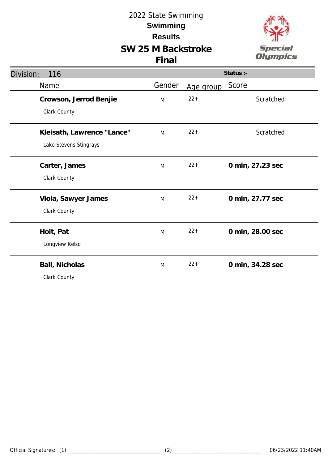

| Division:<br>116           |        |           | Status :-        |
|----------------------------|--------|-----------|------------------|
| Name                       | Gender | Age group | Score            |
| Crowson, Jerrod Benjie     | M      | $22 +$    | Scratched        |
| Clark County               |        |           |                  |
| Kleisath, Lawrence "Lance" | M      | $22 +$    | Scratched        |
| Lake Stevens Stingrays     |        |           |                  |
| Carter, James              | M      | $22 +$    | 0 min, 27.23 sec |
| Clark County               |        |           |                  |
| Viola, Sawyer James        | M      | $22 +$    | 0 min, 27.77 sec |
| Clark County               |        |           |                  |
| Holt, Pat                  | M      | $22 +$    | 0 min, 28.00 sec |
| Longview Kelso             |        |           |                  |
| Ball, Nicholas             | M      | $22 +$    | 0 min, 34.28 sec |
| Clark County               |        |           |                  |
|                            |        |           |                  |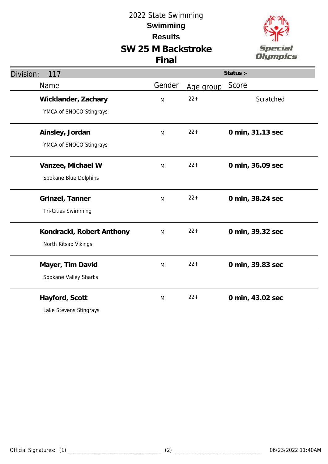

| Division:<br>117          |        |           | Status :-        |
|---------------------------|--------|-----------|------------------|
| Name                      | Gender | Age group | Score            |
| Wicklander, Zachary       | M      | $22 +$    | Scratched        |
| YMCA of SNOCO Stingrays   |        |           |                  |
| Ainsley, Jordan           | M      | $22+$     | 0 min, 31.13 sec |
| YMCA of SNOCO Stingrays   |        |           |                  |
| Vanzee, Michael W         | M      | $22 +$    | 0 min, 36.09 sec |
| Spokane Blue Dolphins     |        |           |                  |
| Grinzel, Tanner           | M      | $22+$     | 0 min, 38.24 sec |
| Tri-Cities Swimming       |        |           |                  |
| Kondracki, Robert Anthony | M      | $22 +$    | 0 min, 39.32 sec |
| North Kitsap Vikings      |        |           |                  |
| Mayer, Tim David          | M      | $22 +$    | 0 min, 39.83 sec |
| Spokane Valley Sharks     |        |           |                  |
| Hayford, Scott            | M      | $22 +$    | 0 min, 43.02 sec |
| Lake Stevens Stingrays    |        |           |                  |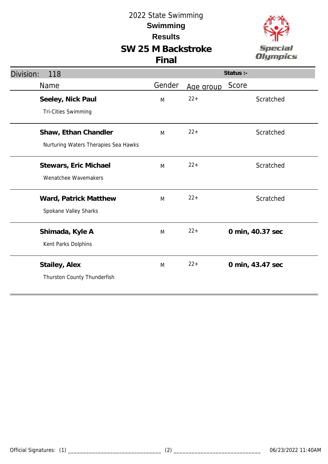

| Division:<br>118                     |        |           | Status :-        |
|--------------------------------------|--------|-----------|------------------|
| Name                                 | Gender | Age group | Score            |
| Seeley, Nick Paul                    | M      | $22+$     | Scratched        |
| <b>Tri-Cities Swimming</b>           |        |           |                  |
| Shaw, Ethan Chandler                 | M      | $22+$     | Scratched        |
| Nurturing Waters Therapies Sea Hawks |        |           |                  |
| Stewars, Eric Michael                | M      | $22+$     | Scratched        |
| Wenatchee Wavemakers                 |        |           |                  |
| Ward, Patrick Matthew                | M      | $22+$     | Scratched        |
| Spokane Valley Sharks                |        |           |                  |
| Shimada, Kyle A                      | M      | $22+$     | 0 min, 40.37 sec |
| Kent Parks Dolphins                  |        |           |                  |
| Stailey, Alex                        | M      | $22+$     | 0 min, 43.47 sec |
| Thurston County Thunderfish          |        |           |                  |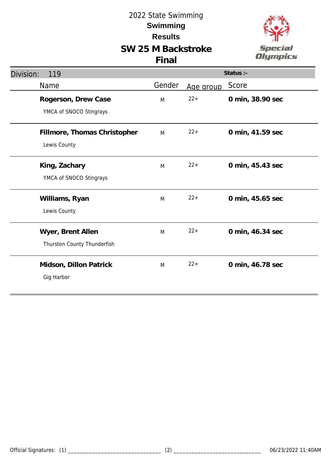

| Division:<br>119                                 |        |           | Status :-        |
|--------------------------------------------------|--------|-----------|------------------|
| Name                                             | Gender | Age group | Score            |
| Rogerson, Drew Case<br>YMCA of SNOCO Stingrays   | M      | $22 +$    | 0 min, 38.90 sec |
| Fillmore, Thomas Christopher<br>Lewis County     | M      | $22+$     | 0 min, 41.59 sec |
| King, Zachary<br>YMCA of SNOCO Stingrays         | M      | $22+$     | 0 min, 45.43 sec |
| Williams, Ryan<br>Lewis County                   | M      | $22 +$    | 0 min, 45.65 sec |
| Wyer, Brent Allen<br>Thurston County Thunderfish | M      | $22 +$    | 0 min, 46.34 sec |
| Midson, Dillon Patrick<br>Gig Harbor             | M      | $22+$     | 0 min, 46.78 sec |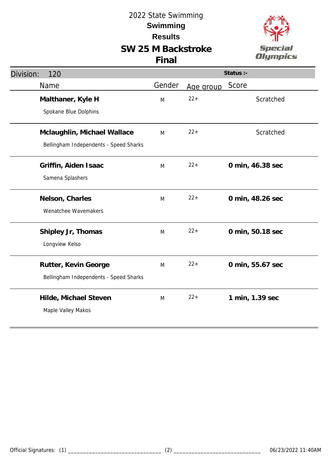

| Division:<br>120                       | Status :- |           |                  |
|----------------------------------------|-----------|-----------|------------------|
| Name                                   | Gender    | Age group | Score            |
| Malthaner, Kyle H                      | M         | $22 +$    | Scratched        |
| Spokane Blue Dolphins                  |           |           |                  |
| Mclaughlin, Michael Wallace            | M         | $22 +$    | Scratched        |
| Bellingham Independents - Speed Sharks |           |           |                  |
| Griffin, Aiden Isaac                   | M         | $22 +$    | 0 min, 46.38 sec |
| Samena Splashers                       |           |           |                  |
| Nelson, Charles                        | M         | $22 +$    | 0 min, 48.26 sec |
| Wenatchee Wavemakers                   |           |           |                  |
| Shipley Jr, Thomas                     | M         | $22 +$    | 0 min, 50.18 sec |
| Longview Kelso                         |           |           |                  |
| Rutter, Kevin George                   | M         | $22+$     | 0 min, 55.67 sec |
| Bellingham Independents - Speed Sharks |           |           |                  |
| Hilde, Michael Steven                  | M         | $22+$     | 1 min, 1.39 sec  |
| Maple Valley Makos                     |           |           |                  |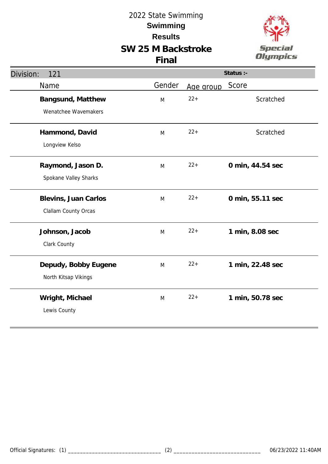

| Division:<br>121      | Status :- |           |                  |
|-----------------------|-----------|-----------|------------------|
| Name                  | Gender    | Age group | Score            |
| Bangsund, Matthew     | M         | $22 +$    | Scratched        |
| Wenatchee Wavemakers  |           |           |                  |
| Hammond, David        | M         | $22 +$    | Scratched        |
| Longview Kelso        |           |           |                  |
| Raymond, Jason D.     | M         | $22+$     | 0 min, 44.54 sec |
| Spokane Valley Sharks |           |           |                  |
| Blevins, Juan Carlos  | M         | $22 +$    | 0 min, 55.11 sec |
| Clallam County Orcas  |           |           |                  |
| Johnson, Jacob        | M         | $22 +$    | 1 min, 8.08 sec  |
| Clark County          |           |           |                  |
| Depudy, Bobby Eugene  | M         | $22 +$    | 1 min, 22.48 sec |
| North Kitsap Vikings  |           |           |                  |
| Wright, Michael       | M         | $22 +$    | 1 min, 50.78 sec |
| Lewis County          |           |           |                  |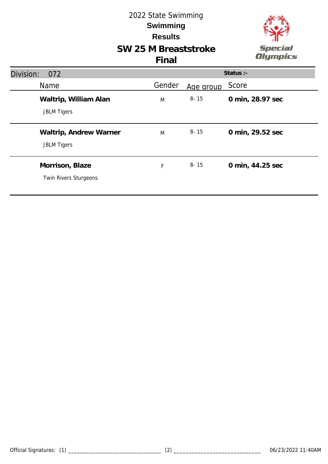



| Division:<br>072                             | Status :- |           |                  |
|----------------------------------------------|-----------|-----------|------------------|
| Name                                         | Gender    | Age group | Score            |
| Waltrip, William Alan<br><b>JBLM Tigers</b>  | M         | $8 - 15$  | 0 min, 28.97 sec |
| Waltrip, Andrew Warner<br><b>JBLM Tigers</b> | M         | $8 - 15$  | 0 min, 29.52 sec |
| Morrison, Blaze<br>Twin Rivers Sturgeons     | F         | $8 - 15$  | 0 min, 44.25 sec |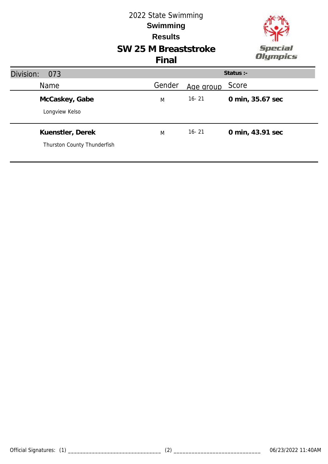

# **SW 25 M Breaststroke**

| Division:<br>073                                |        |           | Status :-        |
|-------------------------------------------------|--------|-----------|------------------|
| Name                                            | Gender | Age group | Score            |
| McCaskey, Gabe<br>Longview Kelso                | M      | $16 - 21$ | 0 min, 35.67 sec |
| Kuenstler, Derek<br>Thurston County Thunderfish | M      | $16 - 21$ | 0 min, 43.91 sec |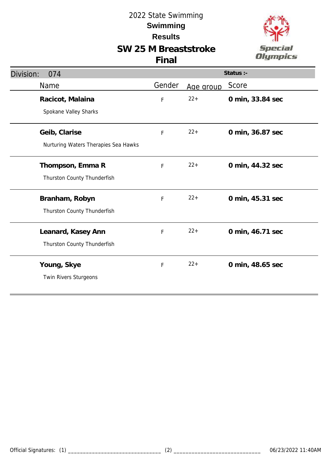# **SW 25 M Breaststroke**



| Division:<br>074                                      |             |           | Status :-        |
|-------------------------------------------------------|-------------|-----------|------------------|
| Name                                                  | Gender      | Age group | Score            |
| Racicot, Malaina<br>Spokane Valley Sharks             | F           | $22+$     | 0 min, 33.84 sec |
| Geib, Clarise<br>Nurturing Waters Therapies Sea Hawks | F           | $22+$     | 0 min, 36.87 sec |
| Thompson, Emma R<br>Thurston County Thunderfish       | F           | $22 +$    | 0 min, 44.32 sec |
| Branham, Robyn<br>Thurston County Thunderfish         | $\mathsf F$ | $22+$     | 0 min, 45.31 sec |
| Leanard, Kasey Ann<br>Thurston County Thunderfish     | F           | $22+$     | 0 min, 46.71 sec |
| Young, Skye<br>Twin Rivers Sturgeons                  | F           | $22+$     | 0 min, 48.65 sec |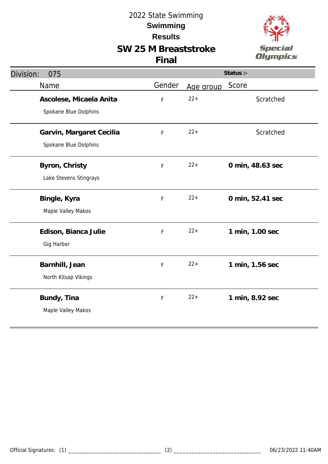# **SW 25 M Breaststroke**





| Division:<br>075         |        |           | Status :-        |
|--------------------------|--------|-----------|------------------|
| Name                     | Gender | Age group | Score            |
| Ascolese, Micaela Anita  | F      | $22 +$    | Scratched        |
| Spokane Blue Dolphins    |        |           |                  |
| Garvin, Margaret Cecilia | F      | $22 +$    | Scratched        |
| Spokane Blue Dolphins    |        |           |                  |
| Byron, Christy           | F      | $22 +$    | 0 min, 48.63 sec |
| Lake Stevens Stingrays   |        |           |                  |
| Bingle, Kyra             | F      | $22 +$    | 0 min, 52.41 sec |
| Maple Valley Makos       |        |           |                  |
| Edison, Bianca Julie     | F      | $22 +$    | 1 min, 1.00 sec  |
| Gig Harbor               |        |           |                  |
| Barnhill, Jean           | F      | $22 +$    | 1 min, 1.56 sec  |
| North Kitsap Vikings     |        |           |                  |
| Bundy, Tina              | F      | $22 +$    | 1 min, 8.92 sec  |
| Maple Valley Makos       |        |           |                  |
|                          |        |           |                  |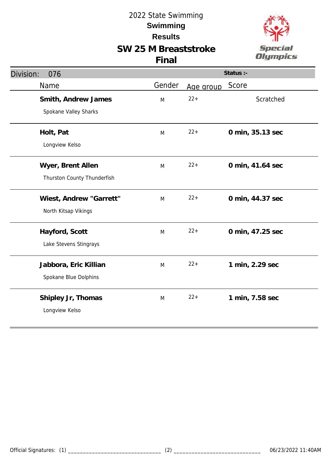**SW 25 M Breaststroke**



|  | v |  |
|--|---|--|

| Division:<br>076            |        |           | Status :-        |
|-----------------------------|--------|-----------|------------------|
| Name                        | Gender | Age group | Score            |
| Smith, Andrew James         | M      | $22 +$    | Scratched        |
| Spokane Valley Sharks       |        |           |                  |
| Holt, Pat                   | M      | $22 +$    | 0 min, 35.13 sec |
| Longview Kelso              |        |           |                  |
| Wyer, Brent Allen           | M      | $22+$     | 0 min, 41.64 sec |
| Thurston County Thunderfish |        |           |                  |
| Wiest, Andrew "Garrett"     | M      | $22 +$    | 0 min, 44.37 sec |
| North Kitsap Vikings        |        |           |                  |
| Hayford, Scott              | M      | $22 +$    | 0 min, 47.25 sec |
| Lake Stevens Stingrays      |        |           |                  |
| Jabbora, Eric Killian       | M      | $22 +$    | 1 min, 2.29 sec  |
| Spokane Blue Dolphins       |        |           |                  |
| Shipley Jr, Thomas          | M      | $22+$     | 1 min, 7.58 sec  |
| Longview Kelso              |        |           |                  |
|                             |        |           |                  |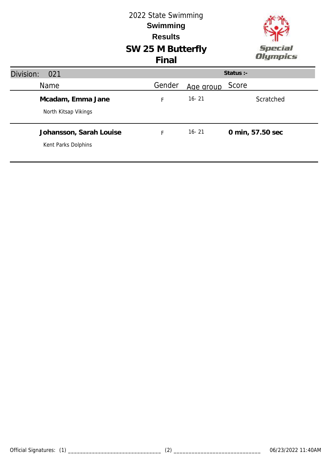# **SW 25 M Butterfly** 2022 State Swimming **Results Swimming Final**



| Division:<br>021                               |        |           | Status $:$ -     |
|------------------------------------------------|--------|-----------|------------------|
| <b>Name</b>                                    | Gender | Age group | Score            |
| Mcadam, Emma Jane<br>North Kitsap Vikings      | F      | $16 - 21$ | Scratched        |
| Johansson, Sarah Louise<br>Kent Parks Dolphins | F      | $16 - 21$ | 0 min, 57.50 sec |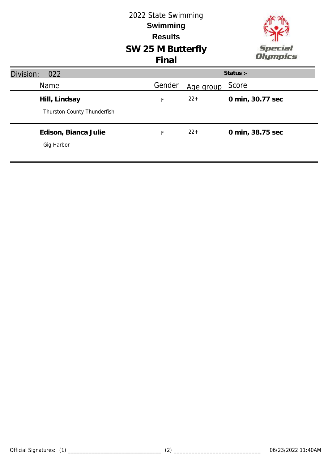|                             | 2022 State Swimming<br><b>Swimming</b><br><b>Results</b><br>SW 25 M Butterfly<br>Final |           | <b>Special</b><br>Olympics |
|-----------------------------|----------------------------------------------------------------------------------------|-----------|----------------------------|
| Division:<br>022            |                                                                                        |           | Status :-                  |
| <b>Name</b>                 | Gender                                                                                 | Age group | Score                      |
| Hill, Lindsay               | F                                                                                      | $22+$     | 0 min, 30.77 sec           |
| Thurston County Thunderfish |                                                                                        |           |                            |
| Edison, Bianca Julie        | F                                                                                      | $22+$     | 0 min, 38.75 sec           |
| Gig Harbor                  |                                                                                        |           |                            |
|                             |                                                                                        |           |                            |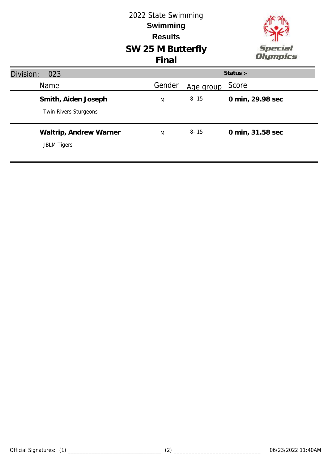#### 2022 State Swimming **Swimming Results SW 25 M Butterfly** Special **Olympics Final Status :-** Division: 023 Name Mame Cender Age group Score M 8- 15 **0 min, 29.98 sec Smith, Aiden Joseph** Twin Rivers Sturgeons **Waltrip, Andrew Warner** M 8- 15 **0 min, 31.58 sec** JBLM Tigers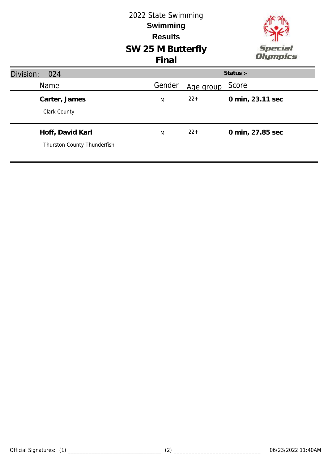|                                                 | 2022 State Swimming<br><b>Swimming</b><br><b>Results</b><br>SW 25 M Butterfly<br>Final |           | <b>Special</b><br>Olympics |
|-------------------------------------------------|----------------------------------------------------------------------------------------|-----------|----------------------------|
| Division:<br>024                                |                                                                                        |           | Status :-                  |
| <b>Name</b>                                     | Gender                                                                                 | Age group | Score                      |
| Carter, James<br>Clark County                   | M                                                                                      | $22+$     | 0 min, 23.11 sec           |
| Hoff, David Karl<br>Thurston County Thunderfish | M                                                                                      | $22+$     | 0 min, 27.85 sec           |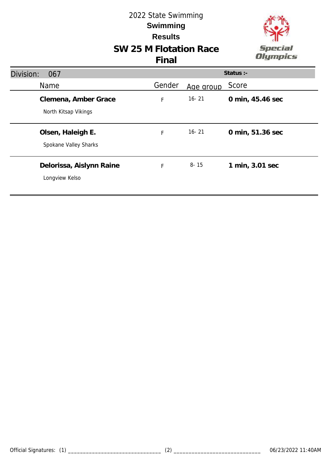# **SW 25 M Flotation Race** 2022 State Swimming **Results Swimming**

**Final**



#### Division: 067 Name Mame Cender Age group Score **Status :- Clemena, Amber Grace** North Kitsap Vikings F 16- 21 **0 min, 45.46 sec Olsen, Haleigh E.** Spokane Valley Sharks F 16- 21 **0 min, 51.36 sec Delorissa, Aislynn Raine** Longview Kelso F 8- 15 **1 min, 3.01 sec**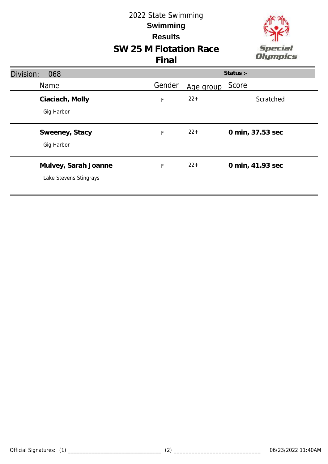# **SW 25 M Flotation Race** 2022 State Swimming **Results Swimming**



| Division:<br>068       |        |           | Status :-        |
|------------------------|--------|-----------|------------------|
| Name                   | Gender | Age group | Score            |
| Ciaciach, Molly        | F      | $22+$     | Scratched        |
| Gig Harbor             |        |           |                  |
| Sweeney, Stacy         | F      | $22+$     | 0 min, 37.53 sec |
| Gig Harbor             |        |           |                  |
| Mulvey, Sarah Joanne   | F      | $22+$     | 0 min, 41.93 sec |
| Lake Stevens Stingrays |        |           |                  |
|                        |        |           |                  |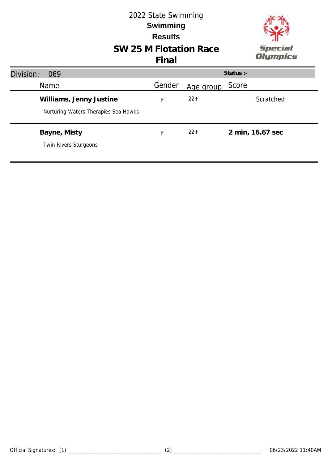

# **SW 25 M Flotation Race**

| Division:<br>069                                                |        |           | Status $:$ -     |
|-----------------------------------------------------------------|--------|-----------|------------------|
| <b>Name</b>                                                     | Gender | Age group | Score            |
| Williams, Jenny Justine<br>Nurturing Waters Therapies Sea Hawks |        | $22+$     | Scratched        |
| Bayne, Misty<br>Twin Rivers Sturgeons                           | F.     | $22+$     | 2 min, 16.67 sec |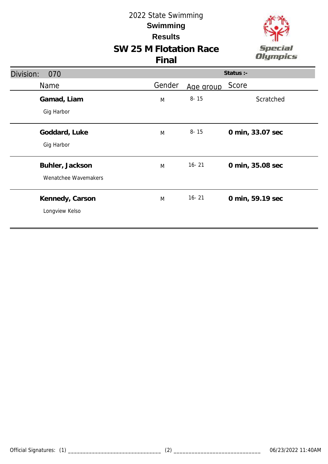

# **SW 25 M Flotation Race**

| Division:<br>070     |        |           | Status :-        |
|----------------------|--------|-----------|------------------|
| Name                 | Gender | Age group | Score            |
| Gamad, Liam          | M      | $8 - 15$  | Scratched        |
| Gig Harbor           |        |           |                  |
| Goddard, Luke        | M      | $8 - 15$  | 0 min, 33.07 sec |
| Gig Harbor           |        |           |                  |
| Buhler, Jackson      | M      | $16 - 21$ | 0 min, 35.08 sec |
| Wenatchee Wavemakers |        |           |                  |
| Kennedy, Carson      | M      | $16 - 21$ | 0 min, 59.19 sec |
| Longview Kelso       |        |           |                  |
|                      |        |           |                  |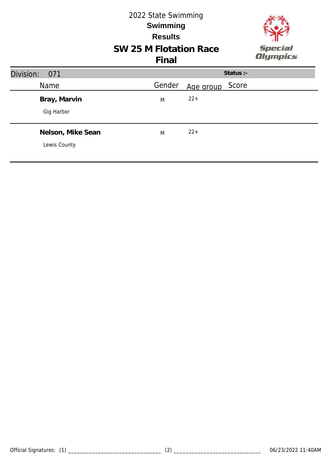#### 2022 State Swimming **Swimming Results SW 25 M Flotation Race** Special **Olympics Final** Division: 071 **Status :-** Name Mame Cender Age group Score  $M$  22+ **Bray, Marvin** Gig Harbor **Nelson, Mike Sean**  $M$  22+ Lewis County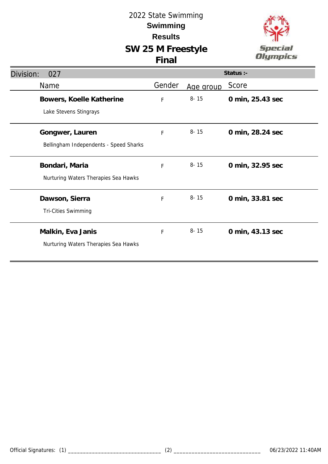

| Division:<br>027                                          | Status :-   |           |                  |
|-----------------------------------------------------------|-------------|-----------|------------------|
| Name                                                      | Gender      | Age group | Score            |
| Bowers, Koelle Katherine<br>Lake Stevens Stingrays        | $\mathsf F$ | $8 - 15$  | 0 min, 25.43 sec |
| Gongwer, Lauren<br>Bellingham Independents - Speed Sharks | $\mathsf F$ | $8 - 15$  | 0 min, 28.24 sec |
| Bondari, Maria<br>Nurturing Waters Therapies Sea Hawks    | F           | $8 - 15$  | 0 min, 32.95 sec |
| Dawson, Sierra<br>Tri-Cities Swimming                     | F           | $8 - 15$  | 0 min, 33.81 sec |
| Malkin, Eva Janis<br>Nurturing Waters Therapies Sea Hawks | F           | $8 - 15$  | 0 min, 43.13 sec |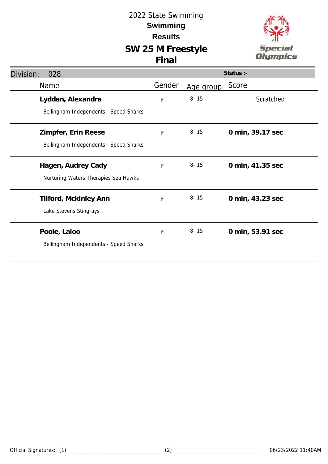

| Division:<br>028                       |        |           | Status :-        |
|----------------------------------------|--------|-----------|------------------|
| Name                                   | Gender | Age group | Score            |
| Lyddan, Alexandra                      | F      | $8 - 15$  | Scratched        |
| Bellingham Independents - Speed Sharks |        |           |                  |
| Zimpfer, Erin Reese                    | F      | $8 - 15$  | 0 min, 39.17 sec |
| Bellingham Independents - Speed Sharks |        |           |                  |
| Hagen, Audrey Cady                     | F      | $8 - 15$  | 0 min, 41.35 sec |
| Nurturing Waters Therapies Sea Hawks   |        |           |                  |
| Tilford, Mckinley Ann                  | F      | $8 - 15$  | 0 min, 43.23 sec |
| Lake Stevens Stingrays                 |        |           |                  |
| Poole, Laloo                           | F      | $8 - 15$  | 0 min, 53.91 sec |
| Bellingham Independents - Speed Sharks |        |           |                  |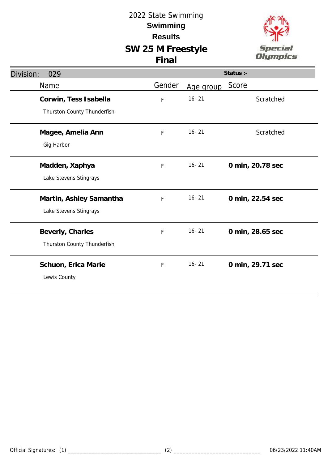

| Division:<br>029                                     |        |           | Status :-        |
|------------------------------------------------------|--------|-----------|------------------|
| Name                                                 | Gender | Age group | Score            |
| Corwin, Tess Isabella<br>Thurston County Thunderfish | F      | $16 - 21$ | Scratched        |
| Magee, Amelia Ann<br>Gig Harbor                      | F      | $16 - 21$ | Scratched        |
| Madden, Xaphya<br>Lake Stevens Stingrays             | F      | $16 - 21$ | 0 min, 20.78 sec |
| Martin, Ashley Samantha<br>Lake Stevens Stingrays    | F      | $16 - 21$ | 0 min, 22.54 sec |
| Beverly, Charles<br>Thurston County Thunderfish      | F      | $16 - 21$ | 0 min, 28.65 sec |
| Schuon, Erica Marie<br>Lewis County                  | F      | $16 - 21$ | 0 min, 29.71 sec |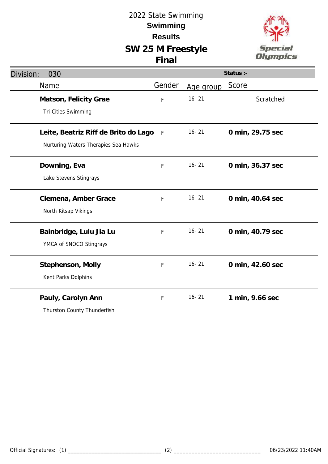

| Division:<br>030                                                             | Status :- |           |                  |
|------------------------------------------------------------------------------|-----------|-----------|------------------|
| Name                                                                         | Gender    | Age group | Score            |
| Matson, Felicity Grae<br><b>Tri-Cities Swimming</b>                          | F         | $16 - 21$ | Scratched        |
| Leite, Beatriz Riff de Brito do Lago<br>Nurturing Waters Therapies Sea Hawks | F         | $16 - 21$ | 0 min, 29.75 sec |
| Downing, Eva<br>Lake Stevens Stingrays                                       | F         | $16 - 21$ | 0 min, 36.37 sec |
| Clemena, Amber Grace<br>North Kitsap Vikings                                 | F         | $16 - 21$ | 0 min, 40.64 sec |
| Bainbridge, Lulu Jia Lu<br>YMCA of SNOCO Stingrays                           | F         | $16 - 21$ | 0 min, 40.79 sec |
| Stephenson, Molly<br>Kent Parks Dolphins                                     | F         | $16 - 21$ | 0 min, 42.60 sec |
| Pauly, Carolyn Ann<br>Thurston County Thunderfish                            | F         | $16 - 21$ | 1 min, 9.66 sec  |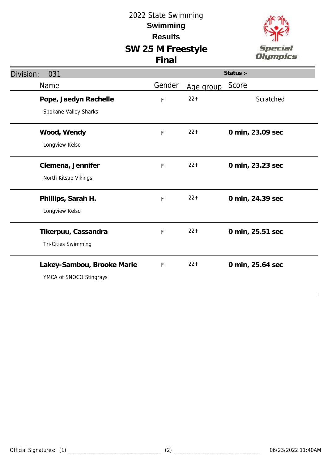

| Division:<br>031                                      | Status :- |           |                  |
|-------------------------------------------------------|-----------|-----------|------------------|
| Name                                                  | Gender    | Age group | Score            |
| Pope, Jaedyn Rachelle<br>Spokane Valley Sharks        | F         | $22+$     | Scratched        |
| Wood, Wendy<br>Longview Kelso                         | F         | $22+$     | 0 min, 23.09 sec |
| Clemena, Jennifer<br>North Kitsap Vikings             | F         | $22 +$    | 0 min, 23.23 sec |
| Phillips, Sarah H.<br>Longview Kelso                  | F         | $22 +$    | 0 min, 24.39 sec |
| Tikerpuu, Cassandra<br>Tri-Cities Swimming            | F         | $22+$     | 0 min, 25.51 sec |
| Lakey-Sambou, Brooke Marie<br>YMCA of SNOCO Stingrays | F         | $22 +$    | 0 min, 25.64 sec |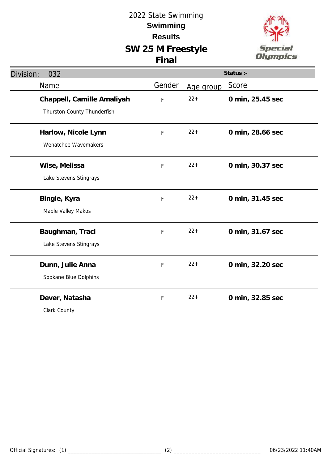

| Division:<br>032                                          |             |           | Status :-        |
|-----------------------------------------------------------|-------------|-----------|------------------|
| Name                                                      | Gender      | Age group | Score            |
| Chappell, Camille Amaliyah<br>Thurston County Thunderfish | F           | $22 +$    | 0 min, 25.45 sec |
| Harlow, Nicole Lynn<br>Wenatchee Wavemakers               | $\mathsf F$ | $22 +$    | 0 min, 28.66 sec |
| Wise, Melissa<br>Lake Stevens Stingrays                   | $\mathsf F$ | $22+$     | 0 min, 30.37 sec |
| Bingle, Kyra<br>Maple Valley Makos                        | F           | $22 +$    | 0 min, 31.45 sec |
| Baughman, Traci<br>Lake Stevens Stingrays                 | F           | $22 +$    | 0 min, 31.67 sec |
| Dunn, Julie Anna<br>Spokane Blue Dolphins                 | F           | $22 +$    | 0 min, 32.20 sec |
| Dever, Natasha<br>Clark County                            | F           | $22 +$    | 0 min, 32.85 sec |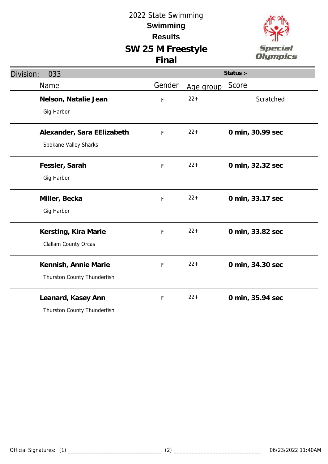

| Division:<br>033                                    |        |           | Status :-        |
|-----------------------------------------------------|--------|-----------|------------------|
| Name                                                | Gender | Age group | Score            |
| Nelson, Natalie Jean<br>Gig Harbor                  | F      | $22 +$    | Scratched        |
| Alexander, Sara EElizabeth<br>Spokane Valley Sharks | F      | $22+$     | 0 min, 30.99 sec |
| Fessler, Sarah<br>Gig Harbor                        | F      | $22 +$    | 0 min, 32.32 sec |
| Miller, Becka<br>Gig Harbor                         | F      | $22 +$    | 0 min, 33.17 sec |
| Kersting, Kira Marie<br>Clallam County Orcas        | F      | $22 +$    | 0 min, 33.82 sec |
| Kennish, Annie Marie<br>Thurston County Thunderfish | F      | $22 +$    | 0 min, 34.30 sec |
| Leanard, Kasey Ann<br>Thurston County Thunderfish   | F      | $22 +$    | 0 min, 35.94 sec |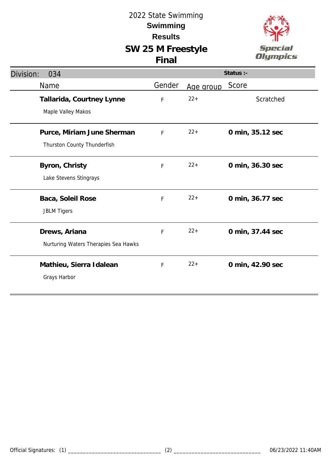

| Division:<br>034                                          |             |           | Status :-        |
|-----------------------------------------------------------|-------------|-----------|------------------|
| Name                                                      | Gender      | Age group | Score            |
| Tallarida, Courtney Lynne<br>Maple Valley Makos           | F           | $22+$     | Scratched        |
| Purce, Miriam June Sherman<br>Thurston County Thunderfish | $\mathsf F$ | $22+$     | 0 min, 35.12 sec |
| Byron, Christy<br>Lake Stevens Stingrays                  | $\mathsf F$ | $22+$     | 0 min, 36.30 sec |
| Baca, Soleil Rose<br><b>JBLM Tigers</b>                   | F           | $22+$     | 0 min, 36.77 sec |
| Drews, Ariana<br>Nurturing Waters Therapies Sea Hawks     | F           | $22+$     | 0 min, 37.44 sec |
| Mathieu, Sierra Idalean<br>Grays Harbor                   | F           | $22+$     | 0 min, 42.90 sec |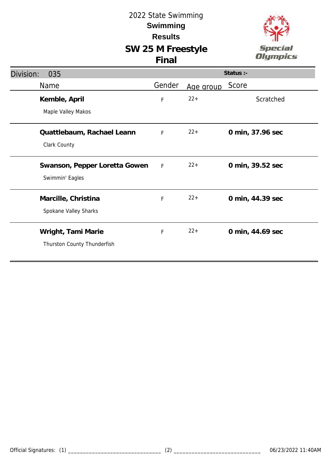

| Division:<br>035              |              |           | Status :-        |
|-------------------------------|--------------|-----------|------------------|
| Name                          | Gender       | Age group | Score            |
| Kemble, April                 | F            | $22 +$    | Scratched        |
| Maple Valley Makos            |              |           |                  |
| Quattlebaum, Rachael Leann    | F            | $22+$     | 0 min, 37.96 sec |
| Clark County                  |              |           |                  |
| Swanson, Pepper Loretta Gowen | $\mathsf{F}$ | $22+$     | 0 min, 39.52 sec |
| Swimmin' Eagles               |              |           |                  |
| Marcille, Christina           | $\mathsf F$  | $22+$     | 0 min, 44.39 sec |
| Spokane Valley Sharks         |              |           |                  |
| Wright, Tami Marie            | F            | $22 +$    | 0 min, 44.69 sec |
| Thurston County Thunderfish   |              |           |                  |
|                               |              |           |                  |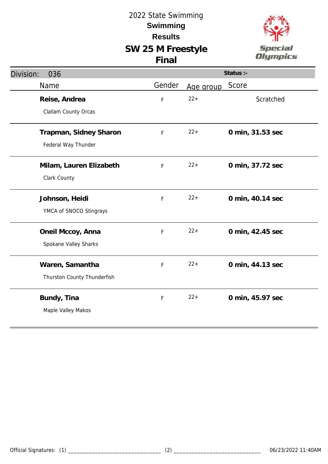

| Division:<br>036            |        |           | Status :-        |
|-----------------------------|--------|-----------|------------------|
| Name                        | Gender | Age group | Score            |
| Reise, Andrea               | F      | $22 +$    | Scratched        |
| Clallam County Orcas        |        |           |                  |
| Trapman, Sidney Sharon      | F      | $22 +$    | 0 min, 31.53 sec |
| Federal Way Thunder         |        |           |                  |
| Milam, Lauren Elizabeth     | F      | $22 +$    | 0 min, 37.72 sec |
| Clark County                |        |           |                  |
| Johnson, Heidi              | F      | $22 +$    | 0 min, 40.14 sec |
| YMCA of SNOCO Stingrays     |        |           |                  |
| Oneil Mccoy, Anna           | F      | $22 +$    | 0 min, 42.45 sec |
| Spokane Valley Sharks       |        |           |                  |
| Waren, Samantha             | F      | $22 +$    | 0 min, 44.13 sec |
| Thurston County Thunderfish |        |           |                  |
| Bundy, Tina                 | F      | $22 +$    | 0 min, 45.97 sec |
| Maple Valley Makos          |        |           |                  |
|                             |        |           |                  |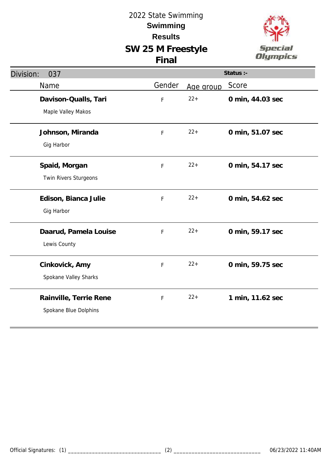

| Division:<br>037       |        |           | Status :-        |
|------------------------|--------|-----------|------------------|
| Name                   | Gender | Age group | Score            |
| Davison-Qualls, Tari   | F      | $22 +$    | 0 min, 44.03 sec |
| Maple Valley Makos     |        |           |                  |
| Johnson, Miranda       | F      | $22 +$    | 0 min, 51.07 sec |
| Gig Harbor             |        |           |                  |
| Spaid, Morgan          | F      | $22 +$    | 0 min, 54.17 sec |
| Twin Rivers Sturgeons  |        |           |                  |
| Edison, Bianca Julie   | F      | $22 +$    | 0 min, 54.62 sec |
| Gig Harbor             |        |           |                  |
| Daarud, Pamela Louise  | F      | $22+$     | 0 min, 59.17 sec |
| Lewis County           |        |           |                  |
| Cinkovick, Amy         | F      | $22 +$    | 0 min, 59.75 sec |
| Spokane Valley Sharks  |        |           |                  |
| Rainville, Terrie Rene | F      | $22+$     | 1 min, 11.62 sec |
| Spokane Blue Dolphins  |        |           |                  |
|                        |        |           |                  |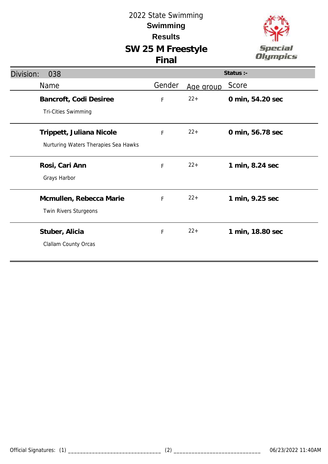

| Division:<br>038                     |             |           | Status :-        |
|--------------------------------------|-------------|-----------|------------------|
| Name                                 | Gender      | Age group | Score            |
| Bancroft, Codi Desiree               | F           | $22+$     | 0 min, 54.20 sec |
| Tri-Cities Swimming                  |             |           |                  |
| Trippett, Juliana Nicole             | $\mathsf F$ | $22+$     | 0 min, 56.78 sec |
| Nurturing Waters Therapies Sea Hawks |             |           |                  |
| Rosi, Cari Ann                       | F           | $22+$     | 1 min, 8.24 sec  |
| Grays Harbor                         |             |           |                  |
| Mcmullen, Rebecca Marie              | F           | $22+$     | 1 min, 9.25 sec  |
| Twin Rivers Sturgeons                |             |           |                  |
| Stuber, Alicia                       | F           | $22+$     | 1 min, 18.80 sec |
| Clallam County Orcas                 |             |           |                  |
|                                      |             |           |                  |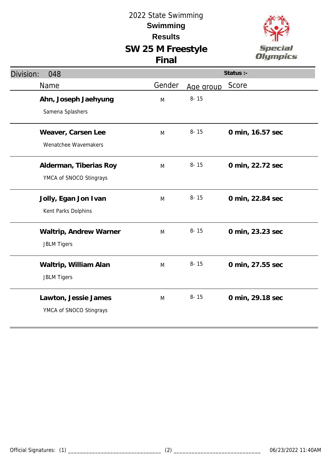

| Division: | 048                                               |        |           | Status :-        |
|-----------|---------------------------------------------------|--------|-----------|------------------|
|           | Name                                              | Gender | Age group | Score            |
|           | Ahn, Joseph Jaehyung<br>Samena Splashers          | M      | $8 - 15$  |                  |
|           | Weaver, Carsen Lee<br>Wenatchee Wavemakers        | M      | $8 - 15$  | 0 min, 16.57 sec |
|           | Alderman, Tiberias Roy<br>YMCA of SNOCO Stingrays | M      | $8 - 15$  | 0 min, 22.72 sec |
|           | Jolly, Egan Jon Ivan<br>Kent Parks Dolphins       | M      | $8 - 15$  | 0 min, 22.84 sec |
|           | Waltrip, Andrew Warner<br><b>JBLM Tigers</b>      | M      | $8 - 15$  | 0 min, 23.23 sec |
|           | Waltrip, William Alan<br><b>JBLM Tigers</b>       | M      | $8 - 15$  | 0 min, 27.55 sec |
|           | Lawton, Jessie James<br>YMCA of SNOCO Stingrays   | M      | $8 - 15$  | 0 min, 29.18 sec |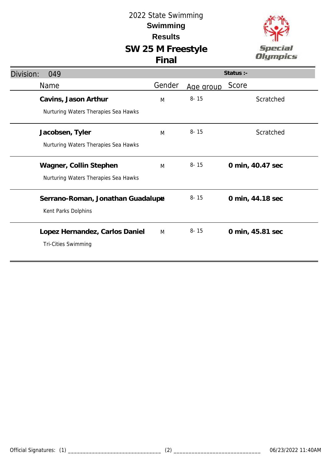# **SW 25 M Freestyle**



| v |
|---|

| Division: | 049                                  |        |           | Status :-        |
|-----------|--------------------------------------|--------|-----------|------------------|
|           | <b>Name</b>                          | Gender | Age group | Score            |
|           | Cavins, Jason Arthur                 | M      | $8 - 15$  | Scratched        |
|           | Nurturing Waters Therapies Sea Hawks |        |           |                  |
|           | Jacobsen, Tyler                      | M      | $8 - 15$  | Scratched        |
|           | Nurturing Waters Therapies Sea Hawks |        |           |                  |
|           | Wagner, Collin Stephen               | M      | $8 - 15$  | 0 min, 40.47 sec |
|           | Nurturing Waters Therapies Sea Hawks |        |           |                  |
|           | Serrano-Roman, Jonathan Guadalupa    |        | $8 - 15$  | 0 min, 44.18 sec |
|           | Kent Parks Dolphins                  |        |           |                  |
|           | Lopez Hernandez, Carlos Daniel       | M      | $8 - 15$  | 0 min, 45.81 sec |
|           | <b>Tri-Cities Swimming</b>           |        |           |                  |
|           |                                      |        |           |                  |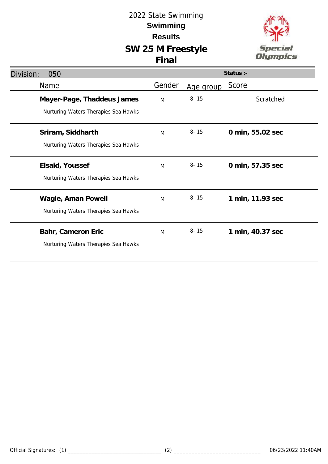

| Division:<br>050                                                   |        |           | Status :-        |
|--------------------------------------------------------------------|--------|-----------|------------------|
| Name                                                               | Gender | Age group | Score            |
| Mayer-Page, Thaddeus James<br>Nurturing Waters Therapies Sea Hawks | M      | $8 - 15$  | Scratched        |
| Sriram, Siddharth<br>Nurturing Waters Therapies Sea Hawks          | M      | $8 - 15$  | 0 min, 55.02 sec |
| Elsaid, Youssef<br>Nurturing Waters Therapies Sea Hawks            | M      | $8 - 15$  | 0 min, 57.35 sec |
| Wagle, Aman Powell<br>Nurturing Waters Therapies Sea Hawks         | M      | $8 - 15$  | 1 min, 11.93 sec |
| Bahr, Cameron Eric<br>Nurturing Waters Therapies Sea Hawks         | M      | $8 - 15$  | 1 min, 40.37 sec |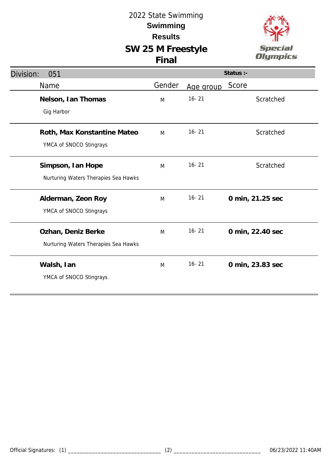

| Division:<br>051                                           |        |           | Status :-        |
|------------------------------------------------------------|--------|-----------|------------------|
| Name                                                       | Gender | Age group | Score            |
| Nelson, Ian Thomas<br>Gig Harbor                           | M      | $16 - 21$ | Scratched        |
| Roth, Max Konstantine Mateo<br>YMCA of SNOCO Stingrays     | M      | $16 - 21$ | Scratched        |
| Simpson, Ian Hope<br>Nurturing Waters Therapies Sea Hawks  | M      | $16 - 21$ | Scratched        |
| Alderman, Zeon Roy<br>YMCA of SNOCO Stingrays              | M      | $16 - 21$ | 0 min, 21.25 sec |
| Ozhan, Deniz Berke<br>Nurturing Waters Therapies Sea Hawks | M      | $16 - 21$ | 0 min, 22.40 sec |
| Walsh, Ian<br>YMCA of SNOCO Stingrays                      | M      | $16 - 21$ | 0 min, 23.83 sec |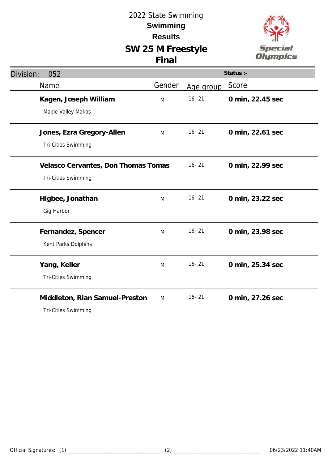

| Division:<br>052                                                  |        |           | Status :-        |
|-------------------------------------------------------------------|--------|-----------|------------------|
| Name                                                              | Gender | Age group | Score            |
| Kagen, Joseph William<br>Maple Valley Makos                       | M      | $16 - 21$ | 0 min, 22.45 sec |
| Jones, Ezra Gregory-Allen<br><b>Tri-Cities Swimming</b>           | M      | $16 - 21$ | 0 min, 22.61 sec |
| Velasco Cervantes, Don Thomas Tomas<br><b>Tri-Cities Swimming</b> |        | $16 - 21$ | 0 min, 22.99 sec |
| Higbee, Jonathan<br>Gig Harbor                                    | M      | $16 - 21$ | 0 min, 23.22 sec |
| Fernandez, Spencer<br>Kent Parks Dolphins                         | M      | $16 - 21$ | 0 min, 23.98 sec |
| Yang, Keller<br><b>Tri-Cities Swimming</b>                        | M      | $16 - 21$ | 0 min, 25.34 sec |
| Middleton, Rian Samuel-Preston<br>Tri-Cities Swimming             | M      | $16 - 21$ | 0 min, 27.26 sec |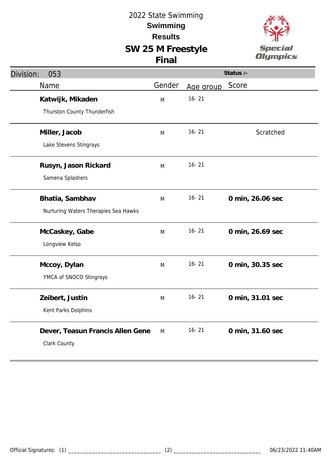

| Division:<br>053                     |        |           | Status :-        |
|--------------------------------------|--------|-----------|------------------|
| Name                                 | Gender | Age group | Score            |
| Katwijk, Mikaden                     | M      | $16 - 21$ |                  |
| Thurston County Thunderfish          |        |           |                  |
| Miller, Jacob                        | M      | $16 - 21$ | Scratched        |
| Lake Stevens Stingrays               |        |           |                  |
| Rusyn, Jason Rickard                 | M      | $16 - 21$ |                  |
| Samena Splashers                     |        |           |                  |
| Bhatia, Sambhav                      | M      | $16 - 21$ | 0 min, 26.06 sec |
| Nurturing Waters Therapies Sea Hawks |        |           |                  |
| McCaskey, Gabe                       | M      | $16 - 21$ | 0 min, 26.69 sec |
| Longview Kelso                       |        |           |                  |
| Mccoy, Dylan                         | M      | $16 - 21$ | 0 min, 30.35 sec |
| YMCA of SNOCO Stingrays              |        |           |                  |
| Zeibert, Justin                      | M      | $16 - 21$ | 0 min, 31.01 sec |
| Kent Parks Dolphins                  |        |           |                  |
| Dever, Teasun Francis Allen Gene     | M      | $16 - 21$ | 0 min, 31.60 sec |
| Clark County                         |        |           |                  |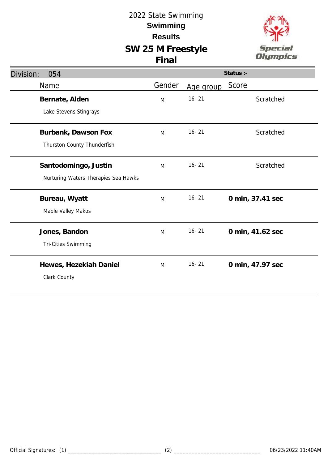

| Division:<br>054                     |        |           | Status :-        |
|--------------------------------------|--------|-----------|------------------|
| Name                                 | Gender | Age group | Score            |
| Bernate, Alden                       | M      | $16 - 21$ | Scratched        |
| Lake Stevens Stingrays               |        |           |                  |
| Burbank, Dawson Fox                  | M      | $16 - 21$ | Scratched        |
| Thurston County Thunderfish          |        |           |                  |
| Santodomingo, Justin                 | M      | $16 - 21$ | Scratched        |
| Nurturing Waters Therapies Sea Hawks |        |           |                  |
| Bureau, Wyatt                        | M      | $16 - 21$ | 0 min, 37.41 sec |
| Maple Valley Makos                   |        |           |                  |
| Jones, Bandon                        | M      | $16 - 21$ | 0 min, 41.62 sec |
| Tri-Cities Swimming                  |        |           |                  |
| Hewes, Hezekiah Daniel               | M      | $16 - 21$ | 0 min, 47.97 sec |
| Clark County                         |        |           |                  |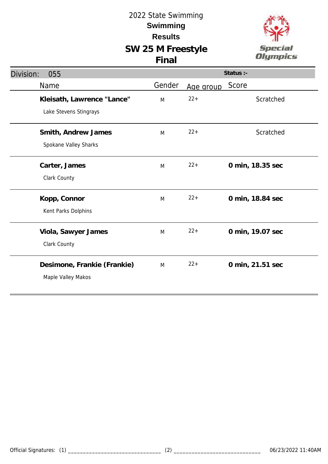

| Division:<br>055              |                                                      |        |           | Status :-        |
|-------------------------------|------------------------------------------------------|--------|-----------|------------------|
| Name                          |                                                      | Gender | Age group | Score            |
|                               | Kleisath, Lawrence "Lance"<br>Lake Stevens Stingrays | M      | $22 +$    | Scratched        |
|                               | Smith, Andrew James<br>Spokane Valley Sharks         | M      | $22 +$    | Scratched        |
| Carter, James<br>Clark County |                                                      | M      | $22+$     | 0 min, 18.35 sec |
| Kopp, Connor                  | Kent Parks Dolphins                                  | M      | $22 +$    | 0 min, 18.84 sec |
| Clark County                  | Viola, Sawyer James                                  | M      | $22 +$    | 0 min, 19.07 sec |
|                               | Desimone, Frankie (Frankie)<br>Maple Valley Makos    | M      | $22 +$    | 0 min, 21.51 sec |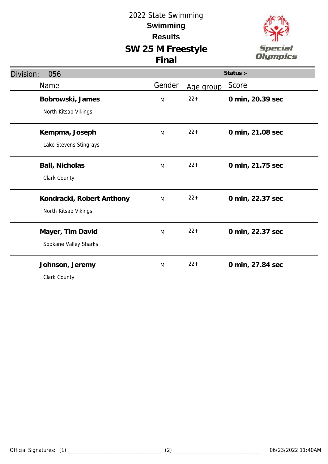

| Division:<br>056                                  |        |           | Status :-        |
|---------------------------------------------------|--------|-----------|------------------|
| Name                                              | Gender | Age group | Score            |
| Bobrowski, James<br>North Kitsap Vikings          | M      | $22 +$    | 0 min, 20.39 sec |
| Kempma, Joseph<br>Lake Stevens Stingrays          | M      | $22 +$    | 0 min, 21.08 sec |
| Ball, Nicholas<br>Clark County                    | M      | $22 +$    | 0 min, 21.75 sec |
| Kondracki, Robert Anthony<br>North Kitsap Vikings | M      | $22+$     | 0 min, 22.37 sec |
| Mayer, Tim David<br>Spokane Valley Sharks         | M      | $22 +$    | 0 min, 22.37 sec |
| Johnson, Jeremy<br>Clark County                   | M      | $22 +$    | 0 min, 27.84 sec |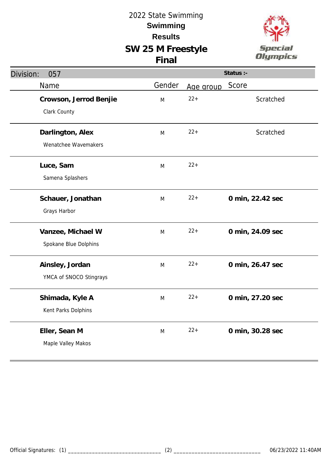

| Division:<br>057                           |        |           | Status :-        |
|--------------------------------------------|--------|-----------|------------------|
| Name                                       | Gender | Age group | Score            |
| Crowson, Jerrod Benjie<br>Clark County     | M      | $22+$     | Scratched        |
| Darlington, Alex<br>Wenatchee Wavemakers   | M      | $22 +$    | Scratched        |
| Luce, Sam<br>Samena Splashers              | M      | $22+$     |                  |
| Schauer, Jonathan<br>Grays Harbor          | M      | $22 +$    | 0 min, 22.42 sec |
| Vanzee, Michael W<br>Spokane Blue Dolphins | M      | $22+$     | 0 min, 24.09 sec |
| Ainsley, Jordan<br>YMCA of SNOCO Stingrays | M      | $22 +$    | 0 min, 26.47 sec |
| Shimada, Kyle A<br>Kent Parks Dolphins     | M      | $22 +$    | 0 min, 27.20 sec |
| Eller, Sean M<br>Maple Valley Makos        | M      | $22+$     | 0 min, 30.28 sec |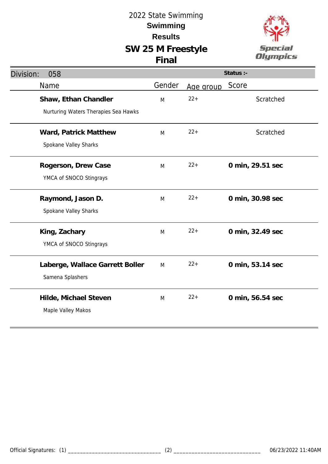

| Division:<br>058                     |        |           | Status :-        |
|--------------------------------------|--------|-----------|------------------|
| Name                                 | Gender | Age group | Score            |
| Shaw, Ethan Chandler                 | M      | $22+$     | Scratched        |
| Nurturing Waters Therapies Sea Hawks |        |           |                  |
| Ward, Patrick Matthew                | M      | $22+$     | Scratched        |
| Spokane Valley Sharks                |        |           |                  |
| Rogerson, Drew Case                  | M      | $22+$     | 0 min, 29.51 sec |
| YMCA of SNOCO Stingrays              |        |           |                  |
| Raymond, Jason D.                    | M      | $22 +$    | 0 min, 30.98 sec |
| Spokane Valley Sharks                |        |           |                  |
| King, Zachary                        | M      | $22+$     | 0 min, 32.49 sec |
| YMCA of SNOCO Stingrays              |        |           |                  |
| Laberge, Wallace Garrett Boller      | M      | $22+$     | 0 min, 53.14 sec |
| Samena Splashers                     |        |           |                  |
| Hilde, Michael Steven                | M      | $22+$     | 0 min, 56.54 sec |
| Maple Valley Makos                   |        |           |                  |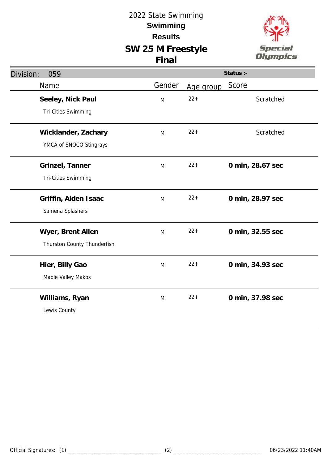

| Division:<br>059            |        |           | Status :-        |
|-----------------------------|--------|-----------|------------------|
| Name                        | Gender | Age group | Score            |
| Seeley, Nick Paul           | M      | $22 +$    | Scratched        |
| Tri-Cities Swimming         |        |           |                  |
| Wicklander, Zachary         | M      | $22 +$    | Scratched        |
| YMCA of SNOCO Stingrays     |        |           |                  |
| Grinzel, Tanner             | M      | $22 +$    | 0 min, 28.67 sec |
| Tri-Cities Swimming         |        |           |                  |
| Griffin, Aiden Isaac        | M      | $22 +$    | 0 min, 28.97 sec |
| Samena Splashers            |        |           |                  |
| Wyer, Brent Allen           | M      | $22 +$    | 0 min, 32.55 sec |
| Thurston County Thunderfish |        |           |                  |
| Hier, Billy Gao             | M      | $22 +$    | 0 min, 34.93 sec |
| Maple Valley Makos          |        |           |                  |
| Williams, Ryan              | M      | $22 +$    | 0 min, 37.98 sec |
| Lewis County                |        |           |                  |
|                             |        |           |                  |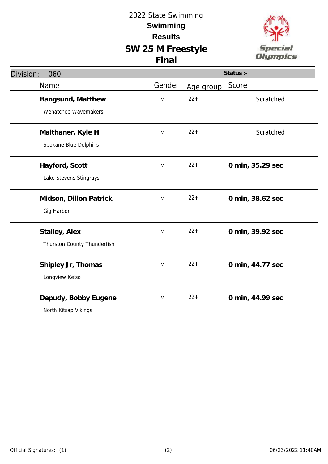

| Division:<br>060            |        |           | Status :-        |
|-----------------------------|--------|-----------|------------------|
| Name                        | Gender | Age group | Score            |
| Bangsund, Matthew           | M      | $22+$     | Scratched        |
| Wenatchee Wavemakers        |        |           |                  |
| Malthaner, Kyle H           | M      | $22 +$    | Scratched        |
| Spokane Blue Dolphins       |        |           |                  |
| Hayford, Scott              | M      | $22 +$    | 0 min, 35.29 sec |
| Lake Stevens Stingrays      |        |           |                  |
| Midson, Dillon Patrick      | M      | $22 +$    | 0 min, 38.62 sec |
| Gig Harbor                  |        |           |                  |
| Stailey, Alex               | M      | $22 +$    | 0 min, 39.92 sec |
| Thurston County Thunderfish |        |           |                  |
| Shipley Jr, Thomas          | M      | $22+$     | 0 min, 44.77 sec |
| Longview Kelso              |        |           |                  |
| Depudy, Bobby Eugene        | M      | $22 +$    | 0 min, 44.99 sec |
| North Kitsap Vikings        |        |           |                  |
|                             |        |           |                  |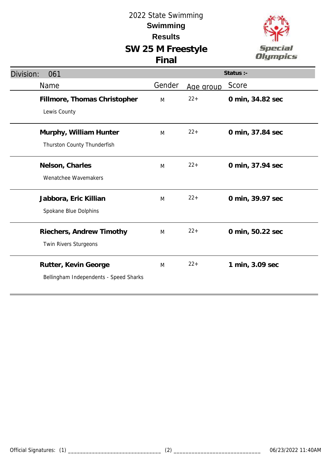

| Division:<br>061                                               |        |           | Status :-        |
|----------------------------------------------------------------|--------|-----------|------------------|
| Name                                                           | Gender | Age group | Score            |
| Fillmore, Thomas Christopher<br>Lewis County                   | M      | $22+$     | 0 min, 34.82 sec |
| Murphy, William Hunter<br>Thurston County Thunderfish          | M      | $22+$     | 0 min, 37.84 sec |
| Nelson, Charles<br>Wenatchee Wavemakers                        | M      | $22+$     | 0 min, 37.94 sec |
| Jabbora, Eric Killian<br>Spokane Blue Dolphins                 | M      | $22+$     | 0 min, 39.97 sec |
| Riechers, Andrew Timothy<br>Twin Rivers Sturgeons              | M      | $22+$     | 0 min, 50.22 sec |
| Rutter, Kevin George<br>Bellingham Independents - Speed Sharks | M      | $22+$     | 1 min, 3.09 sec  |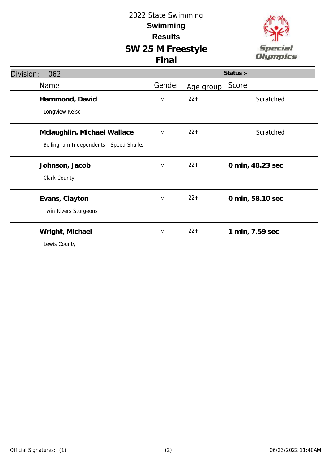

| Division:<br>062                       |        |           | Status :-        |
|----------------------------------------|--------|-----------|------------------|
| Name                                   | Gender | Age group | Score            |
| Hammond, David                         | M      | $22 +$    | Scratched        |
| Longview Kelso                         |        |           |                  |
| Mclaughlin, Michael Wallace            | M      | $22+$     | Scratched        |
| Bellingham Independents - Speed Sharks |        |           |                  |
| Johnson, Jacob                         | M      | $22 +$    | 0 min, 48.23 sec |
| Clark County                           |        |           |                  |
| Evans, Clayton                         | M      | $22+$     | 0 min, 58.10 sec |
| Twin Rivers Sturgeons                  |        |           |                  |
| Wright, Michael                        | M      | $22 +$    | 1 min, 7.59 sec  |
| Lewis County                           |        |           |                  |
|                                        |        |           |                  |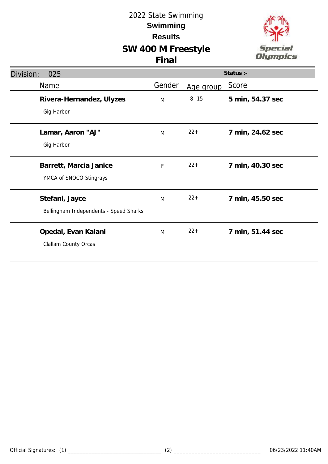# **SW 400 M Freestyle Final**



| Division:<br>025                                         |        |           | Status :-        |
|----------------------------------------------------------|--------|-----------|------------------|
| Name                                                     | Gender | Age group | Score            |
| Rivera-Hernandez, Ulyzes<br>Gig Harbor                   | M      | $8 - 15$  | 5 min, 54.37 sec |
| Lamar, Aaron "AJ"<br>Gig Harbor                          | M      | $22+$     | 7 min, 24.62 sec |
| Barrett, Marcia Janice<br>YMCA of SNOCO Stingrays        | F      | $22+$     | 7 min, 40.30 sec |
| Stefani, Jayce<br>Bellingham Independents - Speed Sharks | M      | $22+$     | 7 min, 45.50 sec |
| Opedal, Evan Kalani<br>Clallam County Orcas              | M      | $22+$     | 7 min, 51.44 sec |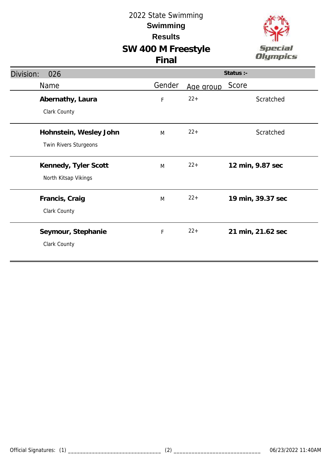# **SW 400 M Freestyle**



|  | v |
|--|---|
|  |   |

| Division:<br>026       |        |           | Status :-         |
|------------------------|--------|-----------|-------------------|
| Name                   | Gender | Age group | Score             |
| Abernathy, Laura       | F      | $22+$     | Scratched         |
| Clark County           |        |           |                   |
| Hohnstein, Wesley John | M      | $22+$     | Scratched         |
| Twin Rivers Sturgeons  |        |           |                   |
| Kennedy, Tyler Scott   | M      | $22+$     | 12 min, 9.87 sec  |
| North Kitsap Vikings   |        |           |                   |
| Francis, Craig         | M      | $22+$     | 19 min, 39.37 sec |
| Clark County           |        |           |                   |
| Seymour, Stephanie     | F      | $22+$     | 21 min, 21.62 sec |
| Clark County           |        |           |                   |
|                        |        |           |                   |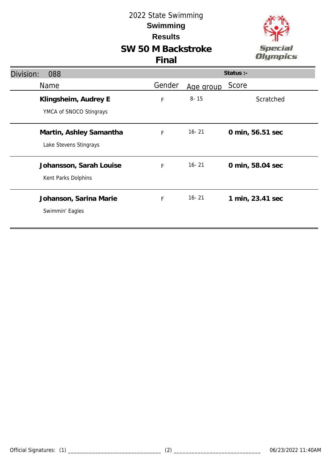

| Division:<br>088                                  |        |           | Status :-        |
|---------------------------------------------------|--------|-----------|------------------|
| Name                                              | Gender | Age group | Score            |
| Klingsheim, Audrey E<br>YMCA of SNOCO Stingrays   | F      | $8 - 15$  | Scratched        |
| Martin, Ashley Samantha<br>Lake Stevens Stingrays | F      | $16 - 21$ | 0 min, 56.51 sec |
| Johansson, Sarah Louise<br>Kent Parks Dolphins    | F      | $16 - 21$ | 0 min, 58.04 sec |
| Johanson, Sarina Marie<br>Swimmin' Eagles         | F      | $16 - 21$ | 1 min, 23.41 sec |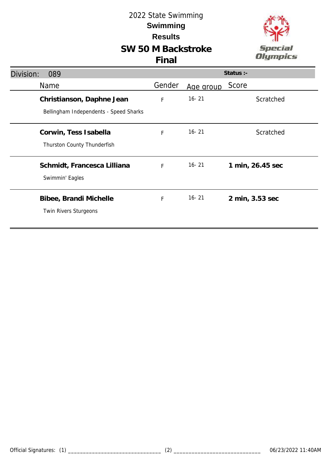

| Division: | 089                                                                 |             |           | Status $:$ -     |
|-----------|---------------------------------------------------------------------|-------------|-----------|------------------|
|           | <b>Name</b>                                                         | Gender      | Age group | Score            |
|           | Christianson, Daphne Jean<br>Bellingham Independents - Speed Sharks | F           | $16 - 21$ | Scratched        |
|           | Corwin, Tess Isabella<br>Thurston County Thunderfish                | $\mathsf F$ | $16 - 21$ | Scratched        |
|           | Schmidt, Francesca Lilliana<br>Swimmin' Eagles                      | F           | $16 - 21$ | 1 min, 26.45 sec |
|           | Bibee, Brandi Michelle<br>Twin Rivers Sturgeons                     | F           | $16 - 21$ | 2 min, 3.53 sec  |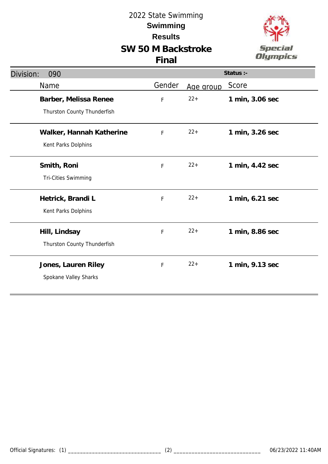

| Division:<br>090            |             |           | Status :-       |
|-----------------------------|-------------|-----------|-----------------|
| Name                        | Gender      | Age group | Score           |
| Barber, Melissa Renee       | F           | $22+$     | 1 min, 3.06 sec |
| Thurston County Thunderfish |             |           |                 |
| Walker, Hannah Katherine    | $\mathsf F$ | $22+$     | 1 min, 3.26 sec |
| Kent Parks Dolphins         |             |           |                 |
| Smith, Roni                 | F           | $22+$     | 1 min, 4.42 sec |
| Tri-Cities Swimming         |             |           |                 |
| Hetrick, Brandi L           | $\mathsf F$ | $22+$     | 1 min, 6.21 sec |
| Kent Parks Dolphins         |             |           |                 |
| Hill, Lindsay               | F           | $22+$     | 1 min, 8.86 sec |
| Thurston County Thunderfish |             |           |                 |
| Jones, Lauren Riley         | $\mathsf F$ | $22+$     | 1 min, 9.13 sec |
| Spokane Valley Sharks       |             |           |                 |
|                             |             |           |                 |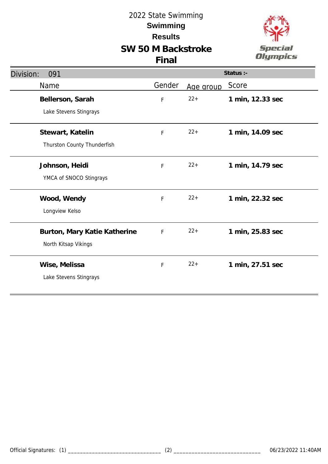



| Division:<br>091             |        |           | Status :-        |
|------------------------------|--------|-----------|------------------|
| Name                         | Gender | Age group | Score            |
| Bellerson, Sarah             | F      | $22 +$    | 1 min, 12.33 sec |
| Lake Stevens Stingrays       |        |           |                  |
| Stewart, Katelin             | F      | $22 +$    | 1 min, 14.09 sec |
| Thurston County Thunderfish  |        |           |                  |
| Johnson, Heidi               | F      | $22+$     | 1 min, 14.79 sec |
| YMCA of SNOCO Stingrays      |        |           |                  |
| Wood, Wendy                  | F      | $22 +$    | 1 min, 22.32 sec |
| Longview Kelso               |        |           |                  |
| Burton, Mary Katie Katherine | F      | $22 +$    | 1 min, 25.83 sec |
| North Kitsap Vikings         |        |           |                  |
| Wise, Melissa                | F      | $22 +$    | 1 min, 27.51 sec |
| Lake Stevens Stingrays       |        |           |                  |
|                              |        |           |                  |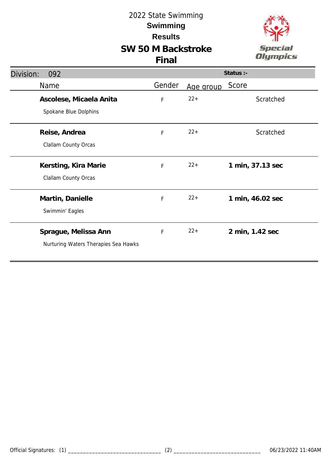

| Division:<br>092                     |        |           | Status :-        |
|--------------------------------------|--------|-----------|------------------|
| Name                                 | Gender | Age group | Score            |
| Ascolese, Micaela Anita              | F      | $22 +$    | Scratched        |
| Spokane Blue Dolphins                |        |           |                  |
| Reise, Andrea                        | F      | $22+$     | Scratched        |
| Clallam County Orcas                 |        |           |                  |
| Kersting, Kira Marie                 | F      | $22+$     | 1 min, 37.13 sec |
| Clallam County Orcas                 |        |           |                  |
| Martin, Danielle                     | F      | $22+$     | 1 min, 46.02 sec |
| Swimmin' Eagles                      |        |           |                  |
| Sprague, Melissa Ann                 | F      | $22+$     | 2 min, 1.42 sec  |
| Nurturing Waters Therapies Sea Hawks |        |           |                  |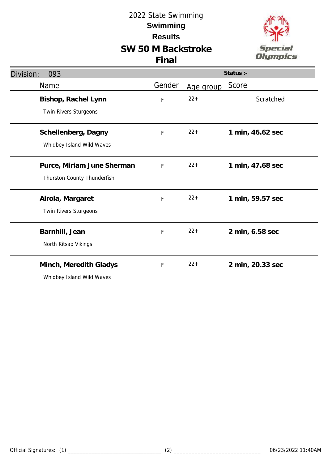



| Division:<br>093                             | Status :- |           |                  |
|----------------------------------------------|-----------|-----------|------------------|
| Name                                         | Gender    | Age group | Score            |
| Bishop, Rachel Lynn<br>Twin Rivers Sturgeons | F         | $22+$     | Scratched        |
|                                              |           |           |                  |
| Schellenberg, Dagny                          | F         | $22+$     | 1 min, 46.62 sec |
| Whidbey Island Wild Waves                    |           |           |                  |
| Purce, Miriam June Sherman                   | F         | $22+$     | 1 min, 47.68 sec |
| Thurston County Thunderfish                  |           |           |                  |
| Airola, Margaret                             | F         | $22+$     | 1 min, 59.57 sec |
| Twin Rivers Sturgeons                        |           |           |                  |
| Barnhill, Jean                               | F         | $22 +$    | 2 min, 6.58 sec  |
| North Kitsap Vikings                         |           |           |                  |
| Minch, Meredith Gladys                       | F         | $22+$     | 2 min, 20.33 sec |
| Whidbey Island Wild Waves                    |           |           |                  |
|                                              |           |           |                  |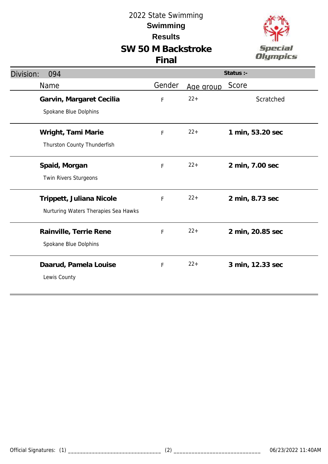

| Division:<br>094                                                 | Status :-   |           |                  |
|------------------------------------------------------------------|-------------|-----------|------------------|
| Name                                                             | Gender      | Age group | Score            |
| Garvin, Margaret Cecilia<br>Spokane Blue Dolphins                | F           | $22+$     | Scratched        |
| Wright, Tami Marie<br>Thurston County Thunderfish                | $\mathsf F$ | $22+$     | 1 min, 53.20 sec |
| Spaid, Morgan<br>Twin Rivers Sturgeons                           | F           | $22+$     | 2 min, 7.00 sec  |
| Trippett, Juliana Nicole<br>Nurturing Waters Therapies Sea Hawks | F           | $22+$     | 2 min, 8.73 sec  |
| Rainville, Terrie Rene<br>Spokane Blue Dolphins                  | F           | $22+$     | 2 min, 20.85 sec |
| Daarud, Pamela Louise<br>Lewis County                            | F           | $22 +$    | 3 min, 12.33 sec |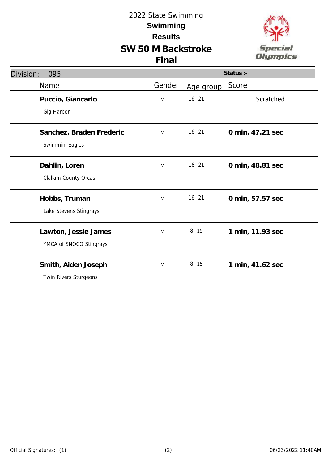

| Division:<br>095                                |        |           | Status :-        |
|-------------------------------------------------|--------|-----------|------------------|
| Name                                            | Gender | Age group | Score            |
| Puccio, Giancarlo<br>Gig Harbor                 | M      | $16 - 21$ | Scratched        |
| Sanchez, Braden Frederic<br>Swimmin' Eagles     | M      | $16 - 21$ | 0 min, 47.21 sec |
| Dahlin, Loren<br>Clallam County Orcas           | M      | $16 - 21$ | 0 min, 48.81 sec |
| Hobbs, Truman<br>Lake Stevens Stingrays         | M      | $16 - 21$ | 0 min, 57.57 sec |
| Lawton, Jessie James<br>YMCA of SNOCO Stingrays | M      | $8 - 15$  | 1 min, 11.93 sec |
| Smith, Aiden Joseph<br>Twin Rivers Sturgeons    | M      | $8 - 15$  | 1 min, 41.62 sec |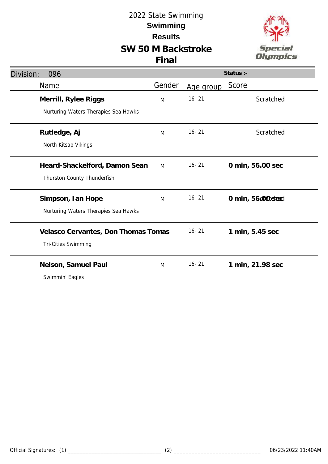# **SW 50 M Backstroke**





| Division:<br>096                     |        |           | Status :-         |
|--------------------------------------|--------|-----------|-------------------|
| Name                                 | Gender | Age group | Score             |
| Merrill, Rylee Riggs                 | M      | $16 - 21$ | Scratched         |
| Nurturing Waters Therapies Sea Hawks |        |           |                   |
| Rutledge, Aj                         | M      | $16 - 21$ | Scratched         |
| North Kitsap Vikings                 |        |           |                   |
| Heard-Shackelford, Damon Sean        | M      | $16 - 21$ | 0 min, 56.00 sec  |
| Thurston County Thunderfish          |        |           |                   |
| Simpson, Ian Hope                    | M      | $16 - 21$ | 0 min, 56 context |
| Nurturing Waters Therapies Sea Hawks |        |           |                   |
| Velasco Cervantes, Don Thomas Tomas  |        | $16 - 21$ | 1 min, 5.45 sec   |
| <b>Tri-Cities Swimming</b>           |        |           |                   |
| Nelson, Samuel Paul                  | M      | $16 - 21$ | 1 min, 21.98 sec  |
| Swimmin' Eagles                      |        |           |                   |
|                                      |        |           |                   |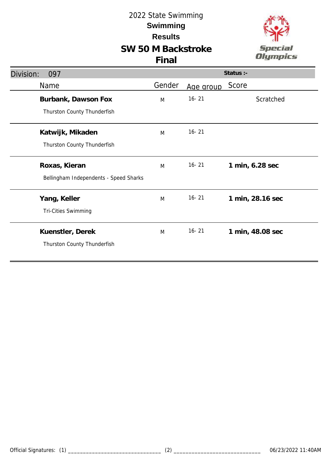# **SW 50 M Backstroke**



| Division:<br>097                       |        |           | Status :-        |
|----------------------------------------|--------|-----------|------------------|
| Name                                   | Gender | Age group | Score            |
| Burbank, Dawson Fox                    | M      | $16 - 21$ | Scratched        |
| Thurston County Thunderfish            |        |           |                  |
| Katwijk, Mikaden                       | M      | $16 - 21$ |                  |
| Thurston County Thunderfish            |        |           |                  |
| Roxas, Kieran                          | M      | $16 - 21$ | 1 min, 6.28 sec  |
| Bellingham Independents - Speed Sharks |        |           |                  |
| Yang, Keller                           | M      | $16 - 21$ | 1 min, 28.16 sec |
| Tri-Cities Swimming                    |        |           |                  |
| Kuenstler, Derek                       | M      | $16 - 21$ | 1 min, 48.08 sec |
| Thurston County Thunderfish            |        |           |                  |
|                                        |        |           |                  |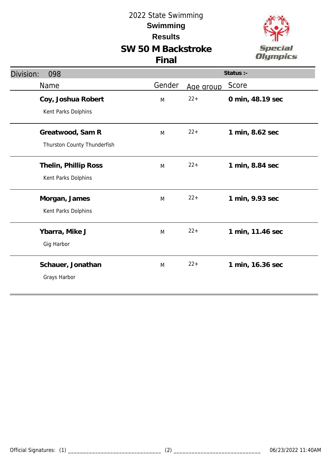

| Division:<br>098            | Status :- |           |                  |  |
|-----------------------------|-----------|-----------|------------------|--|
| Name                        | Gender    | Age group | Score            |  |
| Coy, Joshua Robert          | M         | $22+$     | 0 min, 48.19 sec |  |
| Kent Parks Dolphins         |           |           |                  |  |
| Greatwood, Sam R            | M         | $22+$     | 1 min, 8.62 sec  |  |
| Thurston County Thunderfish |           |           |                  |  |
| Thelin, Phillip Ross        | M         | $22+$     | 1 min, 8.84 sec  |  |
| Kent Parks Dolphins         |           |           |                  |  |
| Morgan, James               | M         | $22+$     | 1 min, 9.93 sec  |  |
| Kent Parks Dolphins         |           |           |                  |  |
| Ybarra, Mike J              | M         | $22+$     | 1 min, 11.46 sec |  |
| Gig Harbor                  |           |           |                  |  |
| Schauer, Jonathan           | M         | $22+$     | 1 min, 16.36 sec |  |
| Grays Harbor                |           |           |                  |  |
|                             |           |           |                  |  |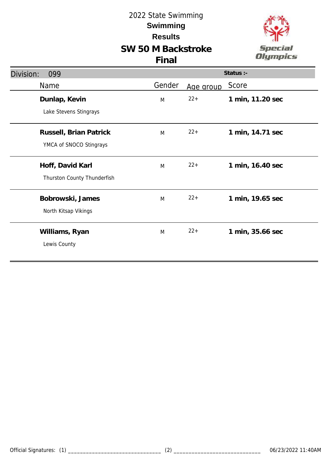

| Status :- |           |                  |
|-----------|-----------|------------------|
| Gender    | Age group | Score            |
| M         | $22 +$    | 1 min, 11.20 sec |
|           |           |                  |
| M         | $22+$     | 1 min, 14.71 sec |
|           |           |                  |
| M         | $22+$     | 1 min, 16.40 sec |
|           |           |                  |
| M         | $22+$     | 1 min, 19.65 sec |
|           |           |                  |
| M         | $22+$     | 1 min, 35.66 sec |
|           |           |                  |
|           |           |                  |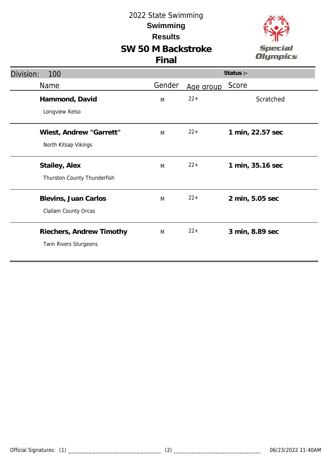

| Division:<br>100            | Status :- |           |                  |  |
|-----------------------------|-----------|-----------|------------------|--|
| Name                        | Gender    | Age group | Score            |  |
| Hammond, David              | M         | $22+$     | Scratched        |  |
| Longview Kelso              |           |           |                  |  |
| Wiest, Andrew "Garrett"     | M         | $22+$     | 1 min, 22.57 sec |  |
| North Kitsap Vikings        |           |           |                  |  |
| Stailey, Alex               | M         | $22+$     | 1 min, 35.16 sec |  |
| Thurston County Thunderfish |           |           |                  |  |
| Blevins, Juan Carlos        | M         | $22+$     | 2 min, 5.05 sec  |  |
| Clallam County Orcas        |           |           |                  |  |
| Riechers, Andrew Timothy    | M         | $22+$     | 3 min, 8.89 sec  |  |
| Twin Rivers Sturgeons       |           |           |                  |  |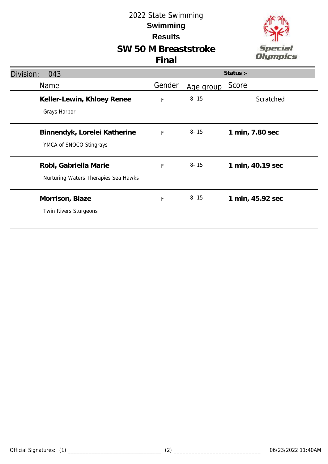# **SW 50 M Breaststroke**



#### **Final**

| Division:<br>043                                              |             |           | Status :-        |
|---------------------------------------------------------------|-------------|-----------|------------------|
| Name                                                          | Gender      | Age group | Score            |
| Keller-Lewin, Khloey Renee<br>Grays Harbor                    | $\mathsf F$ | $8 - 15$  | Scratched        |
| Binnendyk, Lorelei Katherine<br>YMCA of SNOCO Stingrays       | $\mathsf F$ | $8 - 15$  | 1 min, 7.80 sec  |
| Robl, Gabriella Marie<br>Nurturing Waters Therapies Sea Hawks | F           | $8 - 15$  | 1 min, 40.19 sec |
| Morrison, Blaze<br>Twin Rivers Sturgeons                      | F           | $8 - 15$  | 1 min, 45.92 sec |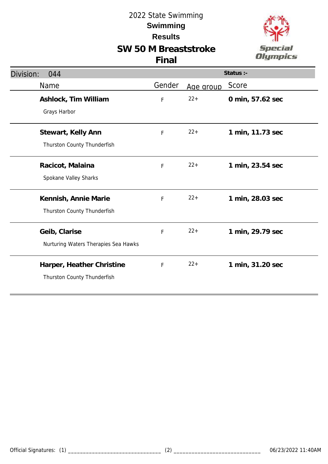# **SW 50 M Breaststroke**



#### **Final**

| Division:<br>044                                         |        |           | Status :-        |
|----------------------------------------------------------|--------|-----------|------------------|
| Name                                                     | Gender | Age group | Score            |
| Ashlock, Tim William<br>Grays Harbor                     | F      | $22+$     | 0 min, 57.62 sec |
| Stewart, Kelly Ann<br>Thurston County Thunderfish        | F      | $22+$     | 1 min, 11.73 sec |
| Racicot, Malaina<br>Spokane Valley Sharks                | F      | $22+$     | 1 min, 23.54 sec |
| Kennish, Annie Marie<br>Thurston County Thunderfish      | F      | $22+$     | 1 min, 28.03 sec |
| Geib, Clarise<br>Nurturing Waters Therapies Sea Hawks    | F      | $22+$     | 1 min, 29.79 sec |
| Harper, Heather Christine<br>Thurston County Thunderfish | F      | $22+$     | 1 min, 31.20 sec |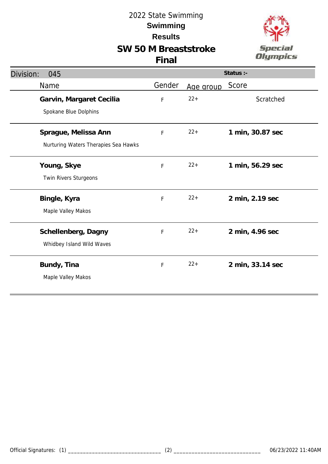# **SW 50 M Breaststroke**





| Division:<br>045                     |        |           | Status :-        |
|--------------------------------------|--------|-----------|------------------|
| Name                                 | Gender | Age group | Score            |
| Garvin, Margaret Cecilia             | F      | $22 +$    | Scratched        |
| Spokane Blue Dolphins                |        |           |                  |
| Sprague, Melissa Ann                 | F      | $22 +$    | 1 min, 30.87 sec |
| Nurturing Waters Therapies Sea Hawks |        |           |                  |
| Young, Skye                          | F      | $22 +$    | 1 min, 56.29 sec |
| Twin Rivers Sturgeons                |        |           |                  |
| Bingle, Kyra                         | F      | $22 +$    | 2 min, 2.19 sec  |
| Maple Valley Makos                   |        |           |                  |
| Schellenberg, Dagny                  | F      | $22 +$    | 2 min, 4.96 sec  |
| Whidbey Island Wild Waves            |        |           |                  |
| Bundy, Tina                          | F      | $22 +$    | 2 min, 33.14 sec |
| Maple Valley Makos                   |        |           |                  |
|                                      |        |           |                  |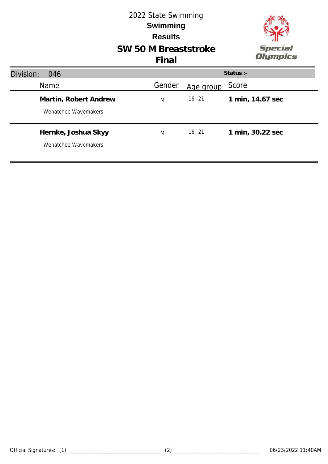

# **SW 50 M Breaststroke**

# **Final**

| Division:<br>046                              |        |           | Status :-        |
|-----------------------------------------------|--------|-----------|------------------|
| Name                                          | Gender | Age group | Score            |
| Martin, Robert Andrew<br>Wenatchee Wavemakers | M      | $16 - 21$ | 1 min, 14.67 sec |
| Hernke, Joshua Skyy<br>Wenatchee Wavemakers   | M      | $16 - 21$ | 1 min, 30.22 sec |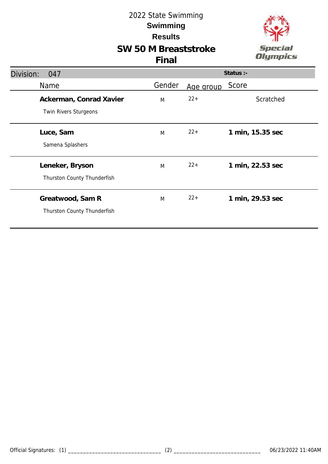



#### **Final**

| Division:<br>047                                 |        |           | Status :-        |
|--------------------------------------------------|--------|-----------|------------------|
| Name                                             | Gender | Age group | Score            |
| Ackerman, Conrad Xavier<br>Twin Rivers Sturgeons | M      | $22+$     | Scratched        |
| Luce, Sam<br>Samena Splashers                    | M      | $22+$     | 1 min, 15.35 sec |
| Leneker, Bryson<br>Thurston County Thunderfish   | M      | $22+$     | 1 min, 22.53 sec |
| Greatwood, Sam R<br>Thurston County Thunderfish  | M      | $22+$     | 1 min, 29.53 sec |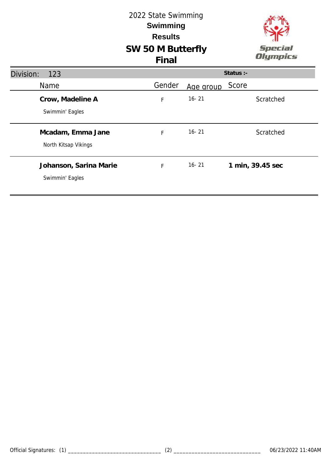## **SW 50 M Butterfly** 2022 State Swimming **Results Swimming Final**



| Division:<br>123                          |        |           | Status :-        |
|-------------------------------------------|--------|-----------|------------------|
| Name                                      | Gender | Age group | Score            |
| Crow, Madeline A<br>Swimmin' Eagles       | F      | $16 - 21$ | Scratched        |
| Mcadam, Emma Jane<br>North Kitsap Vikings | F      | $16 - 21$ | Scratched        |
| Johanson, Sarina Marie<br>Swimmin' Eagles | F      | $16 - 21$ | 1 min, 39.45 sec |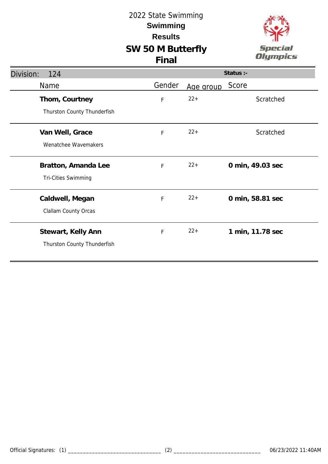



| Division:<br>124            |             |           | Status :-        |
|-----------------------------|-------------|-----------|------------------|
| Name                        | Gender      | Age group | Score            |
| Thom, Courtney              | $\mathsf F$ | $22+$     | Scratched        |
| Thurston County Thunderfish |             |           |                  |
| Van Well, Grace             | F           | $22+$     | Scratched        |
| Wenatchee Wavemakers        |             |           |                  |
| Bratton, Amanda Lee         | F           | $22+$     | 0 min, 49.03 sec |
| Tri-Cities Swimming         |             |           |                  |
| Caldwell, Megan             | F           | $22+$     | 0 min, 58.81 sec |
| Clallam County Orcas        |             |           |                  |
| Stewart, Kelly Ann          | $\mathsf F$ | $22+$     | 1 min, 11.78 sec |
| Thurston County Thunderfish |             |           |                  |
|                             |             |           |                  |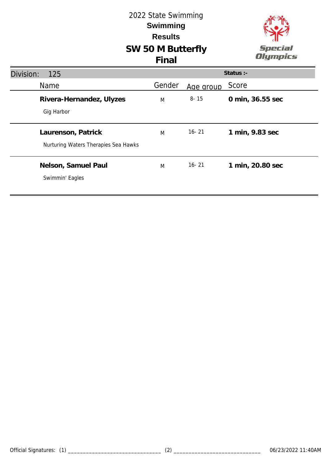

## **SW 50 M Butterfly Final**

| Division:<br>125                                           |        |           | Status :-        |
|------------------------------------------------------------|--------|-----------|------------------|
| <b>Name</b>                                                | Gender | Age group | Score            |
| Rivera-Hernandez, Ulyzes<br>Gig Harbor                     | M      | $8 - 15$  | 0 min, 36.55 sec |
| Laurenson, Patrick<br>Nurturing Waters Therapies Sea Hawks | M      | $16 - 21$ | 1 min, 9.83 sec  |
| Nelson, Samuel Paul<br>Swimmin' Eagles                     | M      | $16 - 21$ | 1 min, 20.80 sec |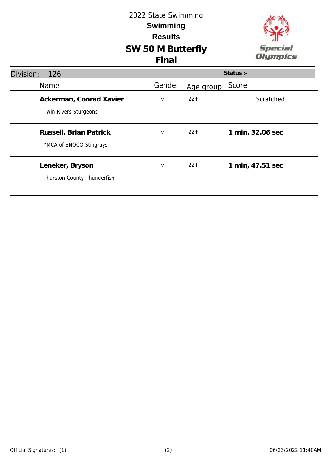# **SW 50 M Butterfly** 2022 State Swimming **Results Swimming**

**Final**



| Division:<br>126                                        |        |           | Status :-        |
|---------------------------------------------------------|--------|-----------|------------------|
| <b>Name</b>                                             | Gender | Age group | Score            |
| Ackerman, Conrad Xavier<br><b>Twin Rivers Sturgeons</b> | M      | $22+$     | Scratched        |
| Russell, Brian Patrick<br>YMCA of SNOCO Stingrays       | M      | $22+$     | 1 min, 32.06 sec |
| Leneker, Bryson<br>Thurston County Thunderfish          | M      | $22+$     | 1 min, 47.51 sec |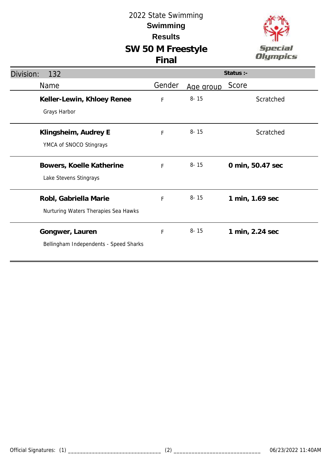

| Division:<br>132                                              |              |           | Status :-        |
|---------------------------------------------------------------|--------------|-----------|------------------|
| Name                                                          | Gender       | Age group | Score            |
| Keller-Lewin, Khloey Renee<br>Grays Harbor                    | $\mathsf{F}$ | $8 - 15$  | Scratched        |
| Klingsheim, Audrey E<br>YMCA of SNOCO Stingrays               | F            | $8 - 15$  | Scratched        |
| Bowers, Koelle Katherine<br>Lake Stevens Stingrays            | F            | $8 - 15$  | 0 min, 50.47 sec |
| Robl, Gabriella Marie<br>Nurturing Waters Therapies Sea Hawks | F            | $8 - 15$  | 1 min, 1.69 sec  |
| Gongwer, Lauren<br>Bellingham Independents - Speed Sharks     | F            | $8 - 15$  | 1 min, 2.24 sec  |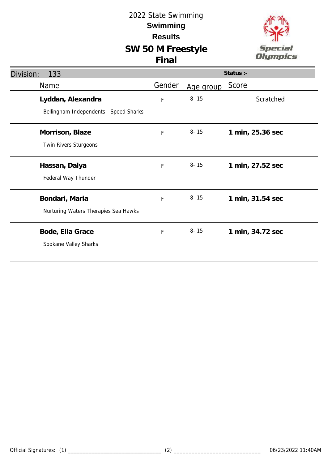

| Division:<br>133                       |             |           | Status :-        |
|----------------------------------------|-------------|-----------|------------------|
| Name                                   | Gender      | Age group | Score            |
| Lyddan, Alexandra                      | F           | $8 - 15$  | Scratched        |
| Bellingham Independents - Speed Sharks |             |           |                  |
| Morrison, Blaze                        | $\mathsf F$ | $8 - 15$  | 1 min, 25.36 sec |
| Twin Rivers Sturgeons                  |             |           |                  |
| Hassan, Dalya                          | F           | $8 - 15$  | 1 min, 27.52 sec |
| Federal Way Thunder                    |             |           |                  |
| Bondari, Maria                         | F           | $8 - 15$  | 1 min, 31.54 sec |
| Nurturing Waters Therapies Sea Hawks   |             |           |                  |
| Bode, Ella Grace                       | $\mathsf F$ | $8 - 15$  | 1 min, 34.72 sec |
| Spokane Valley Sharks                  |             |           |                  |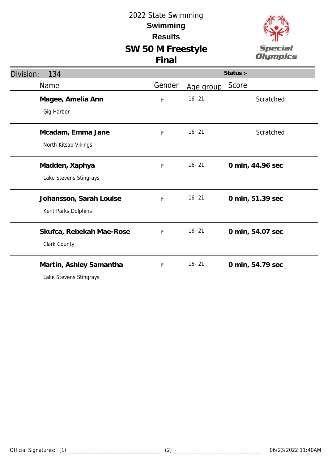

| Division:<br>134                                  |        |           | Status :-        |
|---------------------------------------------------|--------|-----------|------------------|
| Name                                              | Gender | Age group | Score            |
| Magee, Amelia Ann<br>Gig Harbor                   | F      | $16 - 21$ | Scratched        |
| Mcadam, Emma Jane<br>North Kitsap Vikings         | F      | $16 - 21$ | Scratched        |
| Madden, Xaphya<br>Lake Stevens Stingrays          | F      | $16 - 21$ | 0 min, 44.96 sec |
| Johansson, Sarah Louise<br>Kent Parks Dolphins    | F      | $16 - 21$ | 0 min, 51.39 sec |
| Skufca, Rebekah Mae-Rose<br>Clark County          | F      | $16 - 21$ | 0 min, 54.07 sec |
| Martin, Ashley Samantha<br>Lake Stevens Stingrays | F      | $16 - 21$ | 0 min, 54.79 sec |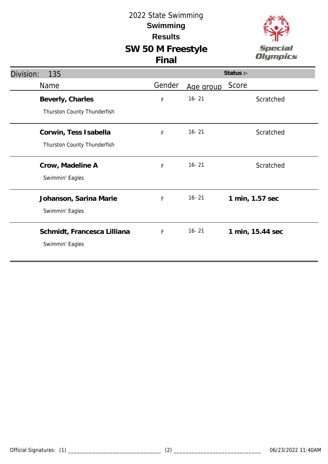



| Division:<br>135            |        |           | Status :-        |
|-----------------------------|--------|-----------|------------------|
| Name                        | Gender | Age group | Score            |
| Beverly, Charles            | F      | $16 - 21$ | Scratched        |
| Thurston County Thunderfish |        |           |                  |
| Corwin, Tess Isabella       | F      | $16 - 21$ | Scratched        |
| Thurston County Thunderfish |        |           |                  |
| Crow, Madeline A            | F      | $16 - 21$ | Scratched        |
| Swimmin' Eagles             |        |           |                  |
| Johanson, Sarina Marie      | F      | $16 - 21$ | 1 min, 1.57 sec  |
| Swimmin' Eagles             |        |           |                  |
| Schmidt, Francesca Lilliana | F      | $16 - 21$ | 1 min, 15.44 sec |
| Swimmin' Eagles             |        |           |                  |
|                             |        |           |                  |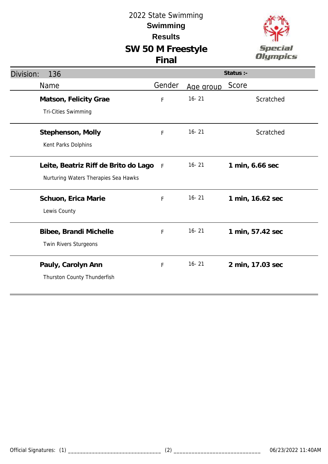

| Division:<br>136                                                             |        |           | Status :-        |
|------------------------------------------------------------------------------|--------|-----------|------------------|
| Name                                                                         | Gender | Age group | Score            |
| Matson, Felicity Grae<br>Tri-Cities Swimming                                 | F      | $16 - 21$ | Scratched        |
| Stephenson, Molly<br>Kent Parks Dolphins                                     | F      | $16 - 21$ | Scratched        |
| Leite, Beatriz Riff de Brito do Lago<br>Nurturing Waters Therapies Sea Hawks | $-F$   | $16 - 21$ | 1 min, 6.66 sec  |
| Schuon, Erica Marie<br>Lewis County                                          | F      | $16 - 21$ | 1 min, 16.62 sec |
| Bibee, Brandi Michelle<br>Twin Rivers Sturgeons                              | F      | $16 - 21$ | 1 min, 57.42 sec |
| Pauly, Carolyn Ann<br>Thurston County Thunderfish                            | F      | $16 - 21$ | 2 min, 17.03 sec |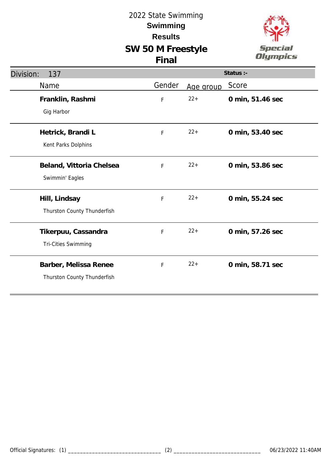

| Division:<br>137            | Status :- |           |                  |
|-----------------------------|-----------|-----------|------------------|
| Name                        | Gender    | Age group | Score            |
| Franklin, Rashmi            | F         | $22+$     | 0 min, 51.46 sec |
| Gig Harbor                  |           |           |                  |
| Hetrick, Brandi L           | F         | $22+$     | 0 min, 53.40 sec |
| Kent Parks Dolphins         |           |           |                  |
| Beland, Vittoria Chelsea    | F         | $22 +$    | 0 min, 53.86 sec |
| Swimmin' Eagles             |           |           |                  |
| Hill, Lindsay               | F         | $22+$     | 0 min, 55.24 sec |
| Thurston County Thunderfish |           |           |                  |
| Tikerpuu, Cassandra         | F         | $22 +$    | 0 min, 57.26 sec |
| Tri-Cities Swimming         |           |           |                  |
| Barber, Melissa Renee       | F         | $22+$     | 0 min, 58.71 sec |
| Thurston County Thunderfish |           |           |                  |
|                             |           |           |                  |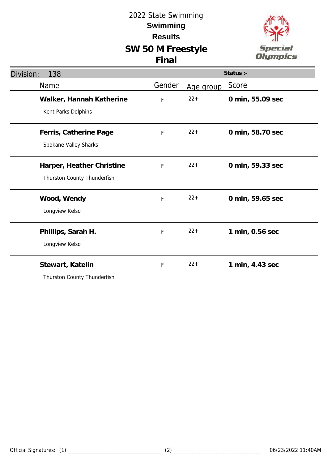

| Division:<br>138                                         |        |           | Status :-        |
|----------------------------------------------------------|--------|-----------|------------------|
| Name                                                     | Gender | Age group | Score            |
| Walker, Hannah Katherine<br>Kent Parks Dolphins          | F      | $22 +$    | 0 min, 55.09 sec |
| Ferris, Catherine Page<br>Spokane Valley Sharks          | F      | $22+$     | 0 min, 58.70 sec |
| Harper, Heather Christine<br>Thurston County Thunderfish | F      | $22 +$    | 0 min, 59.33 sec |
| Wood, Wendy<br>Longview Kelso                            | F      | $22 +$    | 0 min, 59.65 sec |
| Phillips, Sarah H.<br>Longview Kelso                     | F      | $22 +$    | 1 min, 0.56 sec  |
| Stewart, Katelin<br>Thurston County Thunderfish          | F      | $22+$     | 1 min, 4.43 sec  |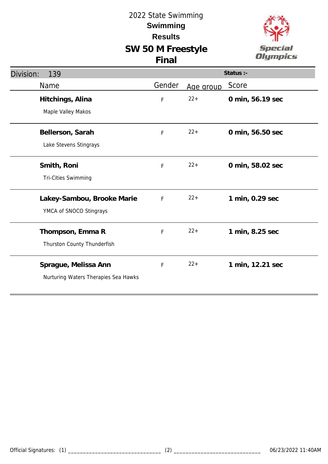



| Division:<br>139                     |             |           | Status :-        |
|--------------------------------------|-------------|-----------|------------------|
| Name                                 | Gender      | Age group | Score            |
| Hitchings, Alina                     | $\mathsf F$ | $22+$     | 0 min, 56.19 sec |
| Maple Valley Makos                   |             |           |                  |
| Bellerson, Sarah                     | $\mathsf F$ | $22+$     | 0 min, 56.50 sec |
| Lake Stevens Stingrays               |             |           |                  |
| Smith, Roni                          | F           | $22+$     | 0 min, 58.02 sec |
| <b>Tri-Cities Swimming</b>           |             |           |                  |
| Lakey-Sambou, Brooke Marie           | $\mathsf F$ | $22+$     | 1 min, 0.29 sec  |
| YMCA of SNOCO Stingrays              |             |           |                  |
| Thompson, Emma R                     | F           | $22+$     | 1 min, 8.25 sec  |
| Thurston County Thunderfish          |             |           |                  |
| Sprague, Melissa Ann                 | $\mathsf F$ | $22+$     | 1 min, 12.21 sec |
| Nurturing Waters Therapies Sea Hawks |             |           |                  |
|                                      |             |           |                  |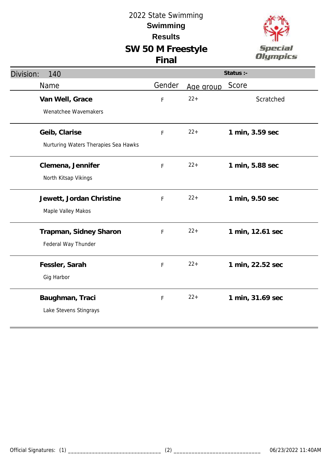

| Division:<br>140                     |        |           | Status :-        |
|--------------------------------------|--------|-----------|------------------|
| Name                                 | Gender | Age group | Score            |
| Van Well, Grace                      | F      | $22 +$    | Scratched        |
| Wenatchee Wavemakers                 |        |           |                  |
| Geib, Clarise                        | F      | $22+$     | 1 min, 3.59 sec  |
| Nurturing Waters Therapies Sea Hawks |        |           |                  |
| Clemena, Jennifer                    | F      | $22 +$    | 1 min, 5.88 sec  |
| North Kitsap Vikings                 |        |           |                  |
| Jewett, Jordan Christine             | F      | $22 +$    | 1 min, 9.50 sec  |
| Maple Valley Makos                   |        |           |                  |
| Trapman, Sidney Sharon               | F      | $22 +$    | 1 min, 12.61 sec |
| Federal Way Thunder                  |        |           |                  |
| Fessler, Sarah                       | F      | $22 +$    | 1 min, 22.52 sec |
| Gig Harbor                           |        |           |                  |
| Baughman, Traci                      | F      | $22 +$    | 1 min, 31.69 sec |
| Lake Stevens Stingrays               |        |           |                  |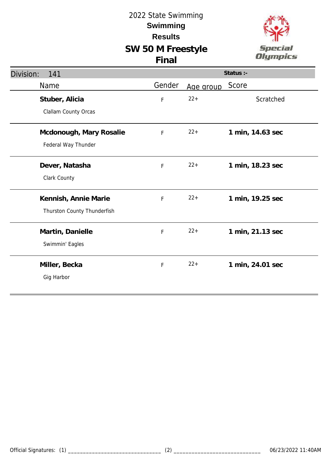

| Division:<br>141                                    |        |           | Status :-        |
|-----------------------------------------------------|--------|-----------|------------------|
| Name                                                | Gender | Age group | Score            |
| Stuber, Alicia<br>Clallam County Orcas              | F      | $22 +$    | Scratched        |
| Mcdonough, Mary Rosalie<br>Federal Way Thunder      | F      | $22 +$    | 1 min, 14.63 sec |
| Dever, Natasha<br>Clark County                      | F      | $22 +$    | 1 min, 18.23 sec |
| Kennish, Annie Marie<br>Thurston County Thunderfish | F      | $22 +$    | 1 min, 19.25 sec |
| Martin, Danielle<br>Swimmin' Eagles                 | F      | $22 +$    | 1 min, 21.13 sec |
| Miller, Becka<br>Gig Harbor                         | F      | $22 +$    | 1 min, 24.01 sec |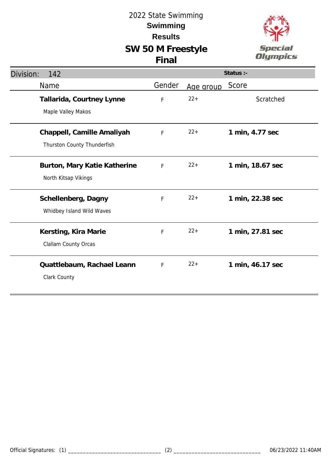

| Division:<br>142                                          |        |           | Status :-        |
|-----------------------------------------------------------|--------|-----------|------------------|
| Name                                                      | Gender | Age group | Score            |
| Tallarida, Courtney Lynne<br>Maple Valley Makos           | F      | $22+$     | Scratched        |
| Chappell, Camille Amaliyah<br>Thurston County Thunderfish | F      | $22+$     | 1 min, 4.77 sec  |
| Burton, Mary Katie Katherine<br>North Kitsap Vikings      | F      | $22+$     | 1 min, 18.67 sec |
| Schellenberg, Dagny<br>Whidbey Island Wild Waves          | F      | $22+$     | 1 min, 22.38 sec |
| Kersting, Kira Marie<br><b>Clallam County Orcas</b>       | F      | $22+$     | 1 min, 27.81 sec |
| Quattlebaum, Rachael Leann<br>Clark County                | F      | $22+$     | 1 min, 46.17 sec |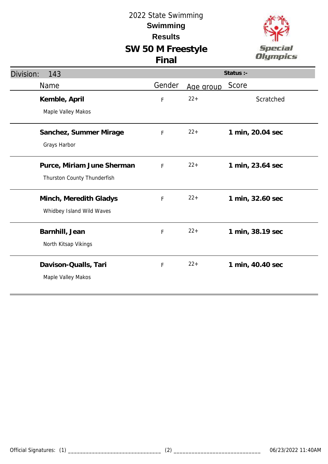

| Division:<br>143                                          |        |           | Status :-        |
|-----------------------------------------------------------|--------|-----------|------------------|
| Name                                                      | Gender | Age group | Score            |
| Kemble, April<br>Maple Valley Makos                       | F      | $22+$     | Scratched        |
| Sanchez, Summer Mirage<br>Grays Harbor                    | F      | $22 +$    | 1 min, 20.04 sec |
| Purce, Miriam June Sherman<br>Thurston County Thunderfish | F      | $22 +$    | 1 min, 23.64 sec |
| Minch, Meredith Gladys<br>Whidbey Island Wild Waves       | F      | $22 +$    | 1 min, 32.60 sec |
| Barnhill, Jean<br>North Kitsap Vikings                    | F      | $22 +$    | 1 min, 38.19 sec |
| Davison-Qualls, Tari<br>Maple Valley Makos                | F      | $22 +$    | 1 min, 40.40 sec |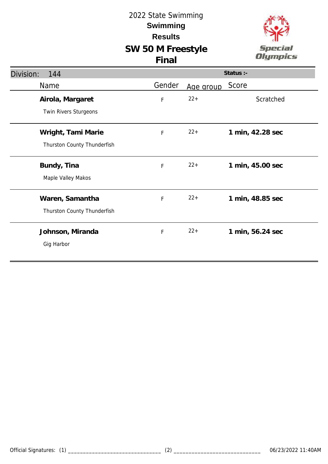



| Division:<br>144            |             |           | Status :-        |
|-----------------------------|-------------|-----------|------------------|
| Name                        | Gender      | Age group | Score            |
| Airola, Margaret            | F           | $22+$     | Scratched        |
| Twin Rivers Sturgeons       |             |           |                  |
| Wright, Tami Marie          | F           | $22+$     | 1 min, 42.28 sec |
| Thurston County Thunderfish |             |           |                  |
| Bundy, Tina                 | $\mathsf F$ | $22+$     | 1 min, 45.00 sec |
| Maple Valley Makos          |             |           |                  |
| Waren, Samantha             | F           | $22+$     | 1 min, 48.85 sec |
| Thurston County Thunderfish |             |           |                  |
| Johnson, Miranda            | $\mathsf F$ | $22+$     | 1 min, 56.24 sec |
| Gig Harbor                  |             |           |                  |
|                             |             |           |                  |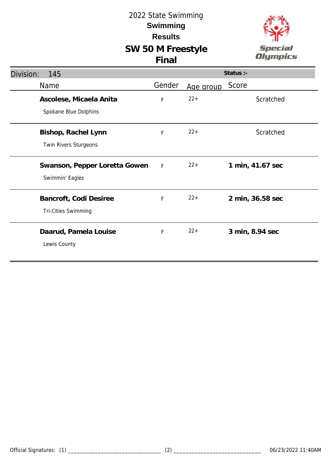

| Division:<br>145              |              |           | Status :-        |
|-------------------------------|--------------|-----------|------------------|
| Name                          | Gender       | Age group | Score            |
| Ascolese, Micaela Anita       | F            | $22 +$    | Scratched        |
| Spokane Blue Dolphins         |              |           |                  |
| Bishop, Rachel Lynn           | F            | $22 +$    | Scratched        |
| Twin Rivers Sturgeons         |              |           |                  |
| Swanson, Pepper Loretta Gowen | $\mathsf{F}$ | $22+$     | 1 min, 41.67 sec |
| Swimmin' Eagles               |              |           |                  |
| Bancroft, Codi Desiree        | F            | $22+$     | 2 min, 36.58 sec |
| <b>Tri-Cities Swimming</b>    |              |           |                  |
| Daarud, Pamela Louise         | F            | $22 +$    | 3 min, 8.94 sec  |
| Lewis County                  |              |           |                  |
|                               |              |           |                  |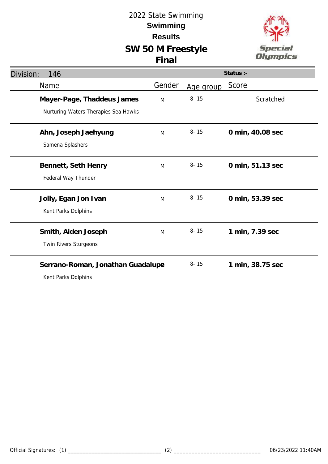

| Division:<br>146                                                   |        |           | Status :-        |
|--------------------------------------------------------------------|--------|-----------|------------------|
| Name                                                               | Gender | Age group | Score            |
| Mayer-Page, Thaddeus James<br>Nurturing Waters Therapies Sea Hawks | M      | $8 - 15$  | Scratched        |
| Ahn, Joseph Jaehyung<br>Samena Splashers                           | M      | $8 - 15$  | 0 min, 40.08 sec |
| Bennett, Seth Henry<br>Federal Way Thunder                         | M      | $8 - 15$  | 0 min, 51.13 sec |
| Jolly, Egan Jon Ivan<br>Kent Parks Dolphins                        | M      | $8 - 15$  | 0 min, 53.39 sec |
| Smith, Aiden Joseph<br>Twin Rivers Sturgeons                       | M      | $8 - 15$  | 1 min, 7.39 sec  |
| Serrano-Roman, Jonathan Guadalup@<br>Kent Parks Dolphins           |        | $8 - 15$  | 1 min, 38.75 sec |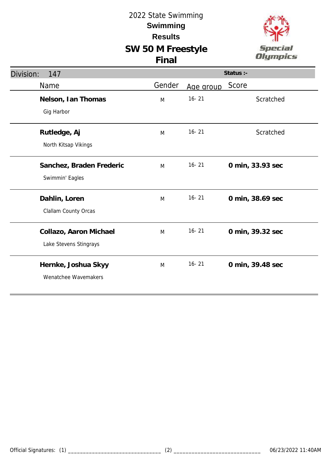

| Division:<br>147                                 |        |           | Status :-        |
|--------------------------------------------------|--------|-----------|------------------|
| Name                                             | Gender | Age group | Score            |
| Nelson, Ian Thomas<br>Gig Harbor                 | M      | $16 - 21$ | Scratched        |
| Rutledge, Aj<br>North Kitsap Vikings             | M      | $16 - 21$ | Scratched        |
| Sanchez, Braden Frederic<br>Swimmin' Eagles      | M      | $16 - 21$ | 0 min, 33.93 sec |
| Dahlin, Loren<br>Clallam County Orcas            | M      | $16 - 21$ | 0 min, 38.69 sec |
| Collazo, Aaron Michael<br>Lake Stevens Stingrays | M      | $16 - 21$ | 0 min, 39.32 sec |
| Hernke, Joshua Skyy<br>Wenatchee Wavemakers      | M      | $16 - 21$ | 0 min, 39.48 sec |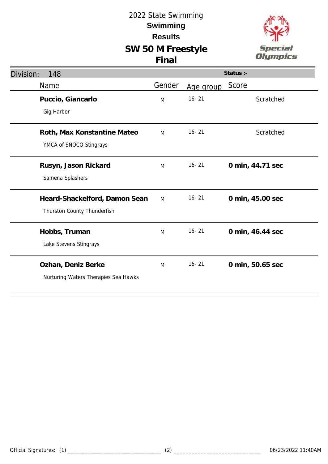

| Division:<br>148                                             |        |           | Status :-        |
|--------------------------------------------------------------|--------|-----------|------------------|
| Name                                                         | Gender | Age group | Score            |
| Puccio, Giancarlo<br>Gig Harbor                              | M      | $16 - 21$ | Scratched        |
| Roth, Max Konstantine Mateo<br>YMCA of SNOCO Stingrays       | M      | $16 - 21$ | Scratched        |
| Rusyn, Jason Rickard<br>Samena Splashers                     | M      | $16 - 21$ | 0 min, 44.71 sec |
| Heard-Shackelford, Damon Sean<br>Thurston County Thunderfish | M      | $16 - 21$ | 0 min, 45.00 sec |
| Hobbs, Truman<br>Lake Stevens Stingrays                      | M      | $16 - 21$ | 0 min, 46.44 sec |
| Ozhan, Deniz Berke<br>Nurturing Waters Therapies Sea Hawks   | M      | $16 - 21$ | 0 min, 50.65 sec |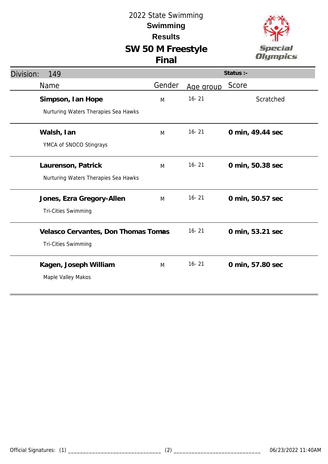

|                                     |           | Status :-        |
|-------------------------------------|-----------|------------------|
| Gender                              | Age group | Score            |
| M                                   | $16 - 21$ | Scratched        |
|                                     |           |                  |
| M                                   | $16 - 21$ | 0 min, 49.44 sec |
|                                     |           |                  |
| M                                   | $16 - 21$ | 0 min, 50.38 sec |
|                                     |           |                  |
| M                                   | $16 - 21$ | 0 min, 50.57 sec |
|                                     |           |                  |
| Velasco Cervantes, Don Thomas Tomas | $16 - 21$ | 0 min, 53.21 sec |
|                                     |           |                  |
| M                                   | $16 - 21$ | 0 min, 57.80 sec |
|                                     |           |                  |
|                                     |           |                  |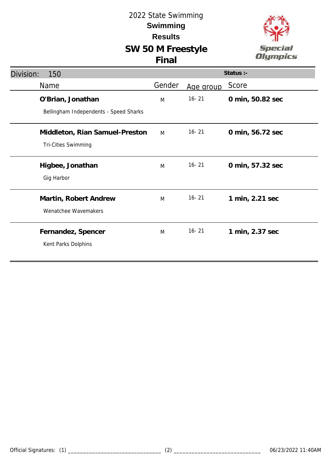

| Division: | 150                                    | Status :- |           |                  |  |
|-----------|----------------------------------------|-----------|-----------|------------------|--|
|           | Name                                   | Gender    | Age group | Score            |  |
|           | O'Brian, Jonathan                      | M         | $16 - 21$ | 0 min, 50.82 sec |  |
|           | Bellingham Independents - Speed Sharks |           |           |                  |  |
|           | Middleton, Rian Samuel-Preston         | M         | $16 - 21$ | 0 min, 56.72 sec |  |
|           | Tri-Cities Swimming                    |           |           |                  |  |
|           | Higbee, Jonathan                       | M         | $16 - 21$ | 0 min, 57.32 sec |  |
|           | Gig Harbor                             |           |           |                  |  |
|           | Martin, Robert Andrew                  | M         | $16 - 21$ | 1 min, 2.21 sec  |  |
|           | Wenatchee Wavemakers                   |           |           |                  |  |
|           | Fernandez, Spencer                     | M         | $16 - 21$ | 1 min, 2.37 sec  |  |
|           | Kent Parks Dolphins                    |           |           |                  |  |
|           |                                        |           |           |                  |  |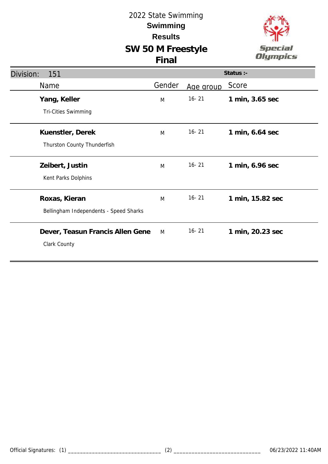

| Division:<br>151                       |        |           | Status :-        |
|----------------------------------------|--------|-----------|------------------|
| Name                                   | Gender | Age group | Score            |
| Yang, Keller                           | M      | $16 - 21$ | 1 min, 3.65 sec  |
| Tri-Cities Swimming                    |        |           |                  |
| Kuenstler, Derek                       | M      | $16 - 21$ | 1 min, 6.64 sec  |
| Thurston County Thunderfish            |        |           |                  |
| Zeibert, Justin                        | M      | $16 - 21$ | 1 min, 6.96 sec  |
| Kent Parks Dolphins                    |        |           |                  |
| Roxas, Kieran                          | M      | $16 - 21$ | 1 min, 15.82 sec |
| Bellingham Independents - Speed Sharks |        |           |                  |
| Dever, Teasun Francis Allen Gene       | M      | $16 - 21$ | 1 min, 20.23 sec |
| Clark County                           |        |           |                  |
|                                        |        |           |                  |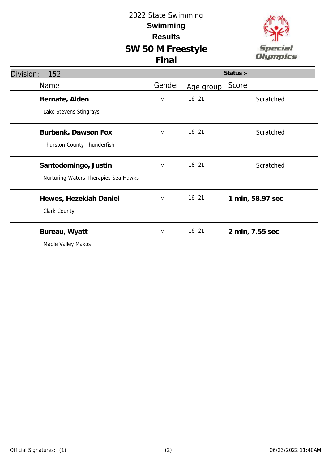

| Division:<br>152                     |        |           | Status :-        |
|--------------------------------------|--------|-----------|------------------|
| Name                                 | Gender | Age group | Score            |
| Bernate, Alden                       | M      | $16 - 21$ | Scratched        |
| Lake Stevens Stingrays               |        |           |                  |
| Burbank, Dawson Fox                  | M      | $16 - 21$ | Scratched        |
| Thurston County Thunderfish          |        |           |                  |
| Santodomingo, Justin                 | M      | $16 - 21$ | Scratched        |
| Nurturing Waters Therapies Sea Hawks |        |           |                  |
| Hewes, Hezekiah Daniel               | M      | $16 - 21$ | 1 min, 58.97 sec |
| Clark County                         |        |           |                  |
| Bureau, Wyatt                        | M      | $16 - 21$ | 2 min, 7.55 sec  |
| Maple Valley Makos                   |        |           |                  |
|                                      |        |           |                  |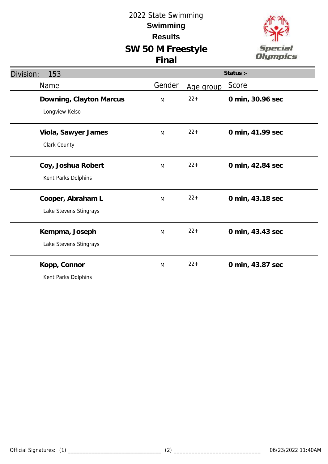

| Division:<br>153                            |        |           | Status :-        |
|---------------------------------------------|--------|-----------|------------------|
| Name                                        | Gender | Age group | Score            |
| Downing, Clayton Marcus<br>Longview Kelso   | M      | $22+$     | 0 min, 30.96 sec |
| Viola, Sawyer James<br>Clark County         | M      | $22 +$    | 0 min, 41.99 sec |
| Coy, Joshua Robert<br>Kent Parks Dolphins   | M      | $22+$     | 0 min, 42.84 sec |
| Cooper, Abraham L<br>Lake Stevens Stingrays | M      | $22 +$    | 0 min, 43.18 sec |
| Kempma, Joseph<br>Lake Stevens Stingrays    | M      | $22 +$    | 0 min, 43.43 sec |
| Kopp, Connor<br>Kent Parks Dolphins         | M      | $22 +$    | 0 min, 43.87 sec |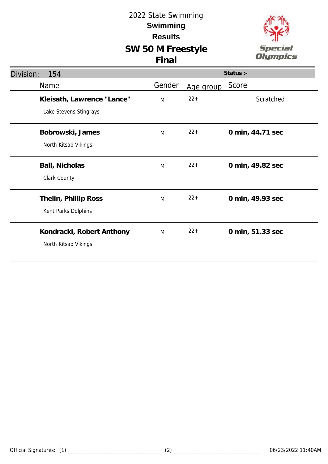

| Division:<br>154                                     |        |           | Status :-        |
|------------------------------------------------------|--------|-----------|------------------|
| Name                                                 | Gender | Age group | Score            |
| Kleisath, Lawrence "Lance"<br>Lake Stevens Stingrays | M      | $22+$     | Scratched        |
| Bobrowski, James<br>North Kitsap Vikings             | M      | $22+$     | 0 min, 44.71 sec |
| Ball, Nicholas<br>Clark County                       | M      | $22+$     | 0 min, 49.82 sec |
| Thelin, Phillip Ross<br>Kent Parks Dolphins          | M      | $22+$     | 0 min, 49.93 sec |
| Kondracki, Robert Anthony<br>North Kitsap Vikings    | M      | $22+$     | 0 min, 51.33 sec |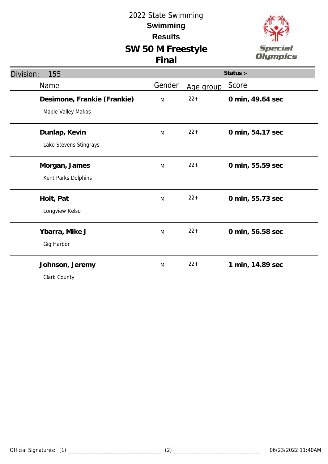

| Division:<br>155            | Status :- |           |                  |  |
|-----------------------------|-----------|-----------|------------------|--|
| Name                        | Gender    | Age group | Score            |  |
| Desimone, Frankie (Frankie) | M         | $22 +$    | 0 min, 49.64 sec |  |
| Maple Valley Makos          |           |           |                  |  |
| Dunlap, Kevin               | M         | $22 +$    | 0 min, 54.17 sec |  |
| Lake Stevens Stingrays      |           |           |                  |  |
| Morgan, James               | M         | $22 +$    | 0 min, 55.59 sec |  |
| Kent Parks Dolphins         |           |           |                  |  |
| Holt, Pat                   | M         | $22 +$    | 0 min, 55.73 sec |  |
| Longview Kelso              |           |           |                  |  |
| Ybarra, Mike J              | M         | $22 +$    | 0 min, 56.58 sec |  |
| Gig Harbor                  |           |           |                  |  |
| Johnson, Jeremy             | M         | $22 +$    | 1 min, 14.89 sec |  |
| Clark County                |           |           |                  |  |
|                             |           |           |                  |  |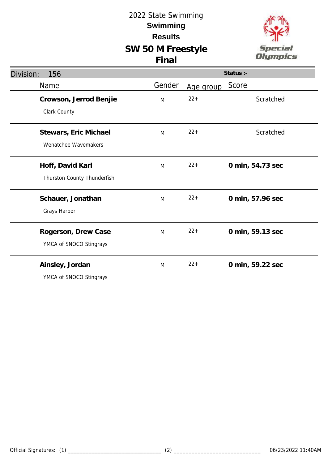

| Division:<br>156                                |        |           | Status :-        |
|-------------------------------------------------|--------|-----------|------------------|
| Name                                            | Gender | Age group | Score            |
| Crowson, Jerrod Benjie<br>Clark County          | M      | $22 +$    | Scratched        |
| Stewars, Eric Michael<br>Wenatchee Wavemakers   | M      | $22 +$    | Scratched        |
| Hoff, David Karl<br>Thurston County Thunderfish | M      | $22 +$    | 0 min, 54.73 sec |
| Schauer, Jonathan<br>Grays Harbor               | M      | $22 +$    | 0 min, 57.96 sec |
| Rogerson, Drew Case<br>YMCA of SNOCO Stingrays  | M      | $22 +$    | 0 min, 59.13 sec |
| Ainsley, Jordan<br>YMCA of SNOCO Stingrays      | M      | $22+$     | 0 min, 59.22 sec |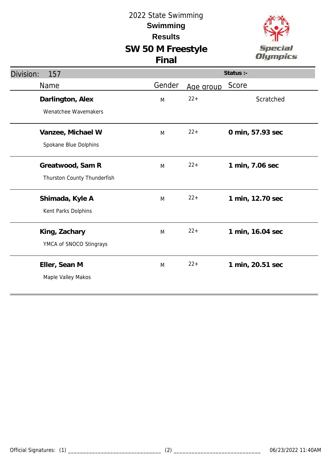

| Division:<br>157                                |        |           | Status :-        |
|-------------------------------------------------|--------|-----------|------------------|
| Name                                            | Gender | Age group | Score            |
| Darlington, Alex<br>Wenatchee Wavemakers        | M      | $22 +$    | Scratched        |
| Vanzee, Michael W<br>Spokane Blue Dolphins      | M      | $22 +$    | 0 min, 57.93 sec |
| Greatwood, Sam R<br>Thurston County Thunderfish | M      | $22 +$    | 1 min, 7.06 sec  |
| Shimada, Kyle A<br>Kent Parks Dolphins          | M      | $22 +$    | 1 min, 12.70 sec |
| King, Zachary<br>YMCA of SNOCO Stingrays        | M      | $22 +$    | 1 min, 16.04 sec |
| Eller, Sean M<br>Maple Valley Makos             | M      | $22 +$    | 1 min, 20.51 sec |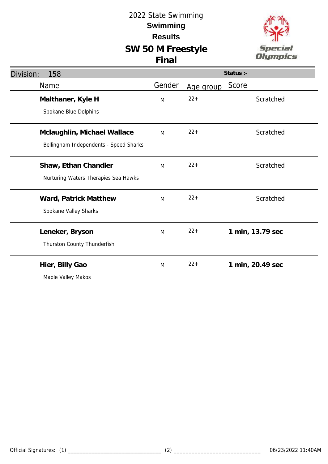

| Division:<br>158                       |        |           | Status :-        |
|----------------------------------------|--------|-----------|------------------|
| Name                                   | Gender | Age group | Score            |
| Malthaner, Kyle H                      | M      | $22 +$    | Scratched        |
| Spokane Blue Dolphins                  |        |           |                  |
| Mclaughlin, Michael Wallace            | M      | $22 +$    | Scratched        |
| Bellingham Independents - Speed Sharks |        |           |                  |
| Shaw, Ethan Chandler                   | M      | $22+$     | Scratched        |
| Nurturing Waters Therapies Sea Hawks   |        |           |                  |
| Ward, Patrick Matthew                  | M      | $22 +$    | Scratched        |
| Spokane Valley Sharks                  |        |           |                  |
| Leneker, Bryson                        | M      | $22 +$    | 1 min, 13.79 sec |
| Thurston County Thunderfish            |        |           |                  |
| Hier, Billy Gao                        | M      | $22 +$    | 1 min, 20.49 sec |
| Maple Valley Makos                     |        |           |                  |
|                                        |        |           |                  |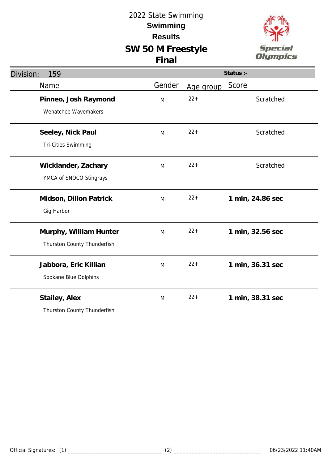## 2022 State Swimming **Results Swimming**

## **SW 50 M Freestyle Final**



| Division:<br>159            | Status :- |           |                  |  |
|-----------------------------|-----------|-----------|------------------|--|
| Name                        | Gender    | Age group | Score            |  |
| Pinneo, Josh Raymond        | M         | $22 +$    | Scratched        |  |
| Wenatchee Wavemakers        |           |           |                  |  |
| Seeley, Nick Paul           | M         | $22 +$    | Scratched        |  |
| <b>Tri-Cities Swimming</b>  |           |           |                  |  |
| Wicklander, Zachary         | M         | $22 +$    | Scratched        |  |
| YMCA of SNOCO Stingrays     |           |           |                  |  |
| Midson, Dillon Patrick      | M         | $22 +$    | 1 min, 24.86 sec |  |
| Gig Harbor                  |           |           |                  |  |
| Murphy, William Hunter      | M         | $22 +$    | 1 min, 32.56 sec |  |
| Thurston County Thunderfish |           |           |                  |  |
| Jabbora, Eric Killian       | M         | $22 +$    | 1 min, 36.31 sec |  |
| Spokane Blue Dolphins       |           |           |                  |  |
| Stailey, Alex               | M         | $22 +$    | 1 min, 38.31 sec |  |
| Thurston County Thunderfish |           |           |                  |  |